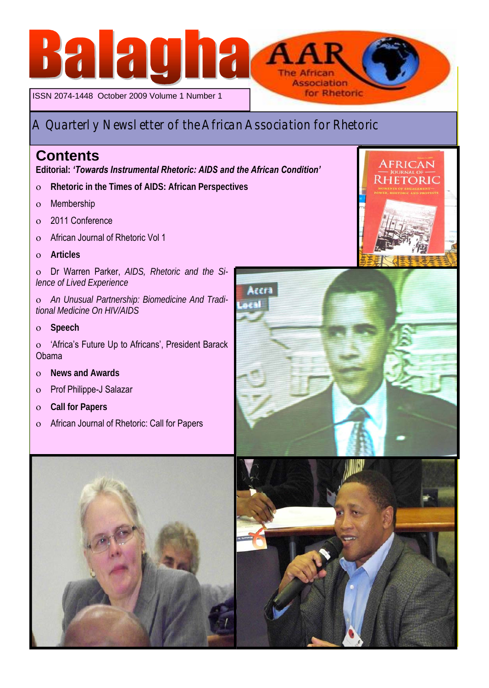

Accra neal

*A Quarterly Newsletter of the African Association for Rhetoric*

### **Contents**

#### **Editorial:** *'Towards Instrumental Rhetoric: AIDS and the African Condition'*

- **Rhetoric in the Times of AIDS: African Perspectives**
- o Membership
- 2011 Conference
- African Journal of Rhetoric Vol 1
- **Articles**

 Dr Warren Parker, *AIDS, Rhetoric and the Silence of Lived Experience*

 *An Unusual Partnership: Biomedicine And Traditional Medicine On HIV/AIDS*

**Speech**

 'Africa's Future Up to Africans', President Barack Obama

- **News and Awards**
- o Prof Philippe-J Salazar
- **Call for Papers**
- African Journal of Rhetoric: Call for Papers





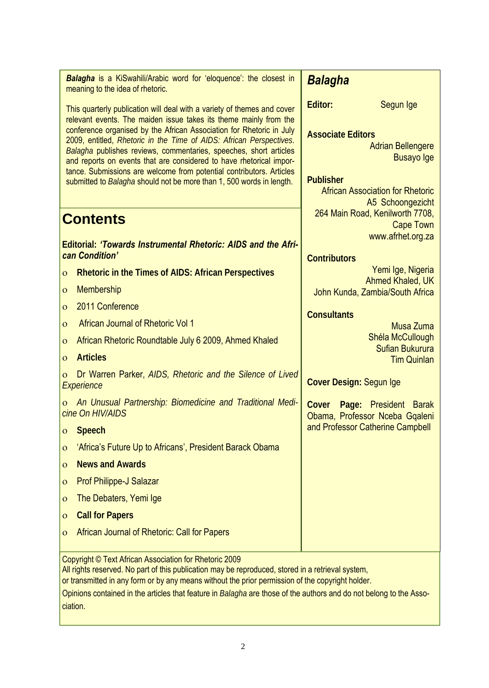| <b>Balagha</b> is a KiSwahili/Arabic word for 'eloquence': the closest in<br>meaning to the idea of rhetoric.                                                                                                                                                                                                                                                                                                                                                                                                                                                                                                 | <b>Balagha</b>                                                                                                                                                                       |  |
|---------------------------------------------------------------------------------------------------------------------------------------------------------------------------------------------------------------------------------------------------------------------------------------------------------------------------------------------------------------------------------------------------------------------------------------------------------------------------------------------------------------------------------------------------------------------------------------------------------------|--------------------------------------------------------------------------------------------------------------------------------------------------------------------------------------|--|
| This quarterly publication will deal with a variety of themes and cover<br>relevant events. The maiden issue takes its theme mainly from the<br>conference organised by the African Association for Rhetoric in July<br>2009, entitled, <i>Rhetoric in the Time of AIDS: African Perspectives</i> .<br><b>Balagha publishes reviews, commentaries, speeches, short articles</b><br>and reports on events that are considered to have rhetorical impor-<br>tance. Submissions are welcome from potential contributors. Articles<br>submitted to <i>Balagha</i> should not be more than 1, 500 words in length. | Editor:<br>Segun Ige<br><b>Associate Editors</b><br><b>Adrian Bellengere</b><br><b>Busayo Ige</b><br><b>Publisher</b><br><b>African Association for Rhetoric</b><br>A5 Schoongezicht |  |
| <b>Contents</b>                                                                                                                                                                                                                                                                                                                                                                                                                                                                                                                                                                                               | 264 Main Road, Kenilworth 7708,<br><b>Cape Town</b><br>www.afrhet.org.za                                                                                                             |  |
| <b>Editorial: 'Towards Instrumental Rhetoric: AIDS and the Afri-</b>                                                                                                                                                                                                                                                                                                                                                                                                                                                                                                                                          |                                                                                                                                                                                      |  |
| can Condition'                                                                                                                                                                                                                                                                                                                                                                                                                                                                                                                                                                                                | <b>Contributors</b>                                                                                                                                                                  |  |
| <b>Rhetoric in the Times of AIDS: African Perspectives</b><br>$\overline{O}$                                                                                                                                                                                                                                                                                                                                                                                                                                                                                                                                  | Yemi Ige, Nigeria<br><b>Ahmed Khaled, UK</b>                                                                                                                                         |  |
| <b>Membership</b><br>$\overline{O}$                                                                                                                                                                                                                                                                                                                                                                                                                                                                                                                                                                           | John Kunda, Zambia/South Africa                                                                                                                                                      |  |
| 2011 Conference<br>$\overline{O}$                                                                                                                                                                                                                                                                                                                                                                                                                                                                                                                                                                             | <b>Consultants</b>                                                                                                                                                                   |  |
| African Journal of Rhetoric Vol 1<br>$\overline{O}$                                                                                                                                                                                                                                                                                                                                                                                                                                                                                                                                                           | Musa Zuma                                                                                                                                                                            |  |
| African Rhetoric Roundtable July 6 2009, Ahmed Khaled<br>$\mathbf{O}$                                                                                                                                                                                                                                                                                                                                                                                                                                                                                                                                         | Shéla McCullough<br><b>Sufian Bukurura</b>                                                                                                                                           |  |
| <b>Articles</b><br>$\overline{O}$                                                                                                                                                                                                                                                                                                                                                                                                                                                                                                                                                                             | <b>Tim Quinlan</b>                                                                                                                                                                   |  |
| Dr Warren Parker, AIDS, Rhetoric and the Silence of Lived<br>$\overline{O}$<br>Experience                                                                                                                                                                                                                                                                                                                                                                                                                                                                                                                     | Cover Design: Segun Ige                                                                                                                                                              |  |
| An Unusual Partnership: Biomedicine and Traditional Medi-<br>$\overline{O}$<br>cine On HIV/AIDS                                                                                                                                                                                                                                                                                                                                                                                                                                                                                                               | Page: President Barak<br>Cover<br>Obama, Professor Nceba Gqaleni                                                                                                                     |  |
| <b>Speech</b><br>$\overline{O}$                                                                                                                                                                                                                                                                                                                                                                                                                                                                                                                                                                               | and Professor Catherine Campbell                                                                                                                                                     |  |
| 'Africa's Future Up to Africans', President Barack Obama<br>$\mathbf O$                                                                                                                                                                                                                                                                                                                                                                                                                                                                                                                                       |                                                                                                                                                                                      |  |
| <b>News and Awards</b><br>$\mathbf O$                                                                                                                                                                                                                                                                                                                                                                                                                                                                                                                                                                         |                                                                                                                                                                                      |  |
| <b>Prof Philippe-J Salazar</b><br>$\mathbf O$                                                                                                                                                                                                                                                                                                                                                                                                                                                                                                                                                                 |                                                                                                                                                                                      |  |
| The Debaters, Yemi Ige<br>$\mathbf{O}$                                                                                                                                                                                                                                                                                                                                                                                                                                                                                                                                                                        |                                                                                                                                                                                      |  |
| <b>Call for Papers</b><br>$\mathbf O$                                                                                                                                                                                                                                                                                                                                                                                                                                                                                                                                                                         |                                                                                                                                                                                      |  |
| African Journal of Rhetoric: Call for Papers<br>$\mathbf O$                                                                                                                                                                                                                                                                                                                                                                                                                                                                                                                                                   |                                                                                                                                                                                      |  |
| Copyright © Text African Association for Rhetoric 2009<br>All rights reserved. No part of this publication may be reproduced, stored in a retrieval system,<br>or transmitted in any form or by any means without the prior permission of the copyright holder.<br>Opinions contained in the articles that feature in <i>Balagha</i> are those of the authors and do not belong to the Asso-<br>ciation.                                                                                                                                                                                                      |                                                                                                                                                                                      |  |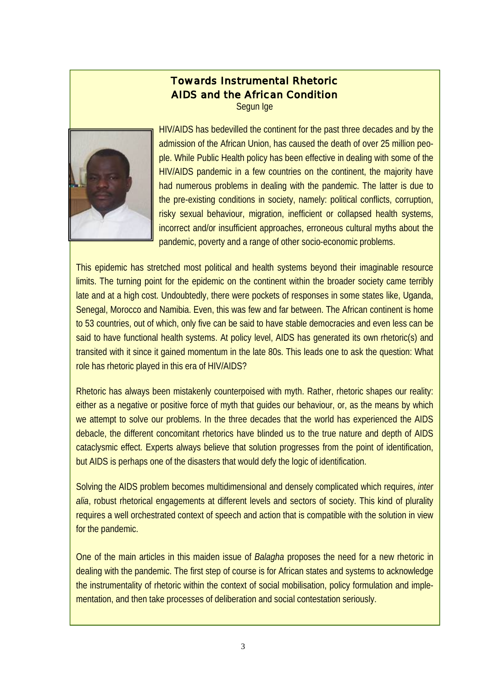### Towards Instrumental Rhetoric AIDS and the African Condition

Segun Ige



HIV/AIDS has bedevilled the continent for the past three decades and by the admission of the African Union, has caused the death of over 25 million people. While Public Health policy has been effective in dealing with some of the HIV/AIDS pandemic in a few countries on the continent, the majority have had numerous problems in dealing with the pandemic. The latter is due to the pre-existing conditions in society, namely: political conflicts, corruption, risky sexual behaviour, migration, inefficient or collapsed health systems, incorrect and/or insufficient approaches, erroneous cultural myths about the pandemic, poverty and a range of other socio-economic problems.

This epidemic has stretched most political and health systems beyond their imaginable resource limits. The turning point for the epidemic on the continent within the broader society came terribly late and at a high cost. Undoubtedly, there were pockets of responses in some states like, Uganda, Senegal, Morocco and Namibia. Even, this was few and far between. The African continent is home to 53 countries, out of which, only five can be said to have stable democracies and even less can be said to have functional health systems. At policy level, AIDS has generated its own rhetoric(s) and transited with it since it gained momentum in the late 80s. This leads one to ask the question: What role has rhetoric played in this era of HIV/AIDS?

Rhetoric has always been mistakenly counterpoised with myth. Rather, rhetoric shapes our reality: either as a negative or positive force of myth that quides our behaviour, or, as the means by which we attempt to solve our problems. In the three decades that the world has experienced the AIDS debacle, the different concomitant rhetorics have blinded us to the true nature and depth of AIDS cataclysmic effect. Experts always believe that solution progresses from the point of identification, but AIDS is perhaps one of the disasters that would defy the logic of identification.

Solving the AIDS problem becomes multidimensional and densely complicated which requires, *inter alia*, robust rhetorical engagements at different levels and sectors of society. This kind of plurality requires a well orchestrated context of speech and action that is compatible with the solution in view for the pandemic.

One of the main articles in this maiden issue of *Balagha* proposes the need for a new rhetoric in dealing with the pandemic. The first step of course is for African states and systems to acknowledge the instrumentality of rhetoric within the context of social mobilisation, policy formulation and implementation, and then take processes of deliberation and social contestation seriously.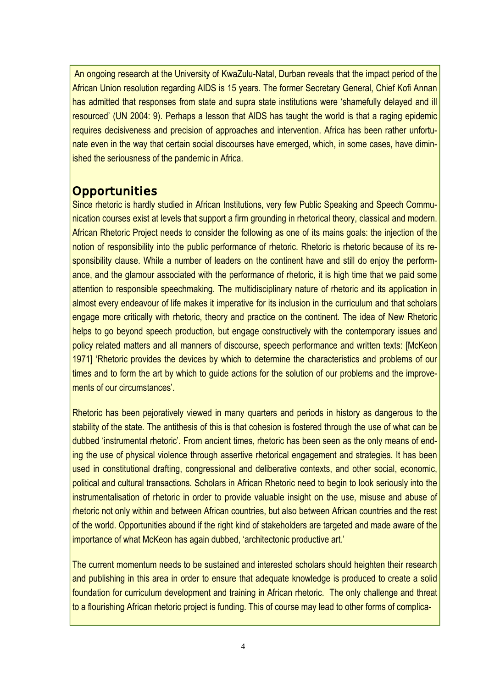An ongoing research at the University of KwaZulu-Natal, Durban reveals that the impact period of the African Union resolution regarding AIDS is 15 years. The former Secretary General, Chief Kofi Annan has admitted that responses from state and supra state institutions were 'shamefully delayed and ill resourced' (UN 2004: 9). Perhaps a lesson that AIDS has taught the world is that a raging epidemic requires decisiveness and precision of approaches and intervention. Africa has been rather unfortunate even in the way that certain social discourses have emerged, which, in some cases, have diminished the seriousness of the pandemic in Africa.

#### **Opportunities**

Since rhetoric is hardly studied in African Institutions, very few Public Speaking and Speech Communication courses exist at levels that support a firm grounding in rhetorical theory, classical and modern. African Rhetoric Project needs to consider the following as one of its mains goals: the injection of the notion of responsibility into the public performance of rhetoric. Rhetoric is rhetoric because of its responsibility clause. While a number of leaders on the continent have and still do enjoy the performance, and the glamour associated with the performance of rhetoric, it is high time that we paid some attention to responsible speechmaking. The multidisciplinary nature of rhetoric and its application in almost every endeavour of life makes it imperative for its inclusion in the curriculum and that scholars engage more critically with rhetoric, theory and practice on the continent. The idea of New Rhetoric helps to go beyond speech production, but engage constructively with the contemporary issues and policy related matters and all manners of discourse, speech performance and written texts: [McKeon 1971] 'Rhetoric provides the devices by which to determine the characteristics and problems of our times and to form the art by which to guide actions for the solution of our problems and the improvements of our circumstances'.

Rhetoric has been pejoratively viewed in many quarters and periods in history as dangerous to the stability of the state. The antithesis of this is that cohesion is fostered through the use of what can be dubbed 'instrumental rhetoric'. From ancient times, rhetoric has been seen as the only means of ending the use of physical violence through assertive rhetorical engagement and strategies. It has been used in constitutional drafting, congressional and deliberative contexts, and other social, economic, political and cultural transactions. Scholars in African Rhetoric need to begin to look seriously into the instrumentalisation of rhetoric in order to provide valuable insight on the use, misuse and abuse of rhetoric not only within and between African countries, but also between African countries and the rest of the world. Opportunities abound if the right kind of stakeholders are targeted and made aware of the importance of what McKeon has again dubbed, 'architectonic productive art.'

The current momentum needs to be sustained and interested scholars should heighten their research and publishing in this area in order to ensure that adequate knowledge is produced to create a solid foundation for curriculum development and training in African rhetoric. The only challenge and threat to a flourishing African rhetoric project is funding. This of course may lead to other forms of complica-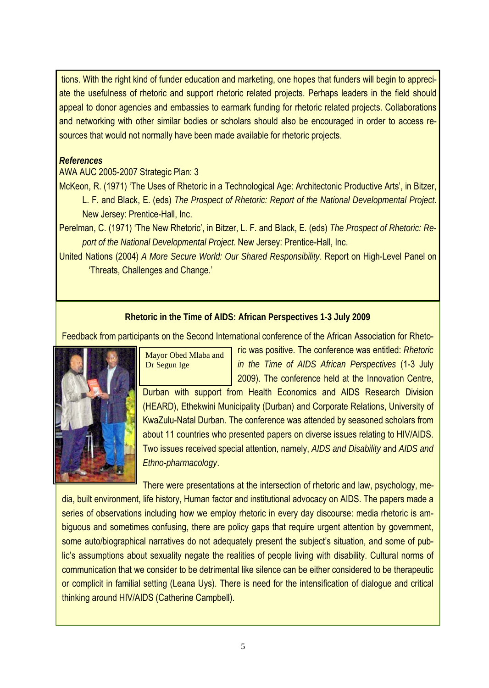tions. With the right kind of funder education and marketing, one hopes that funders will begin to appreciate the usefulness of rhetoric and support rhetoric related projects. Perhaps leaders in the field should appeal to donor agencies and embassies to earmark funding for rhetoric related projects. Collaborations and networking with other similar bodies or scholars should also be encouraged in order to access resources that would not normally have been made available for rhetoric projects.

#### *References*

AWA AUC 2005-2007 Strategic Plan: 3

McKeon, R. (1971) 'The Uses of Rhetoric in a Technological Age: Architectonic Productive Arts', in Bitzer, L. F. and Black, E. (eds) *The Prospect of Rhetoric: Report of the National Developmental Project*. New Jersey: Prentice-Hall, Inc.

Perelman, C. (1971) 'The New Rhetoric', in Bitzer, L. F. and Black, E. (eds) *The Prospect of Rhetoric: Report of the National Developmental Project*. New Jersey: Prentice-Hall, Inc.

United Nations (2004) *A More Secure World: Our Shared Responsibility*. Report on High-Level Panel on 'Threats, Challenges and Change.'

#### **Rhetoric in the Time of AIDS: African Perspectives 1-3 July 2009**

Feedback from participants on the Second International conference of the African Association for Rheto-



Mayor Obed Mlaba and Dr Segun Ige

ric was positive. The conference was entitled: *Rhetoric in the Time of AIDS African Perspectives* (1-3 July 2009). The conference held at the Innovation Centre,

Durban with support from Health Economics and AIDS Research Division (HEARD), Ethekwini Municipality (Durban) and Corporate Relations, University of KwaZulu-Natal Durban. The conference was attended by seasoned scholars from about 11 countries who presented papers on diverse issues relating to HIV/AIDS. Two issues received special attention, namely, *AIDS and Disability* and *AIDS and Ethno-pharmacology*.

There were presentations at the intersection of rhetoric and law, psychology, media, built environment, life history, Human factor and institutional advocacy on AIDS. The papers made a series of observations including how we employ rhetoric in every day discourse: media rhetoric is ambiguous and sometimes confusing, there are policy gaps that require urgent attention by government, some auto/biographical narratives do not adequately present the subject's situation, and some of public's assumptions about sexuality negate the realities of people living with disability. Cultural norms of communication that we consider to be detrimental like silence can be either considered to be therapeutic or complicit in familial setting (Leana Uys). There is need for the intensification of dialogue and critical thinking around HIV/AIDS (Catherine Campbell).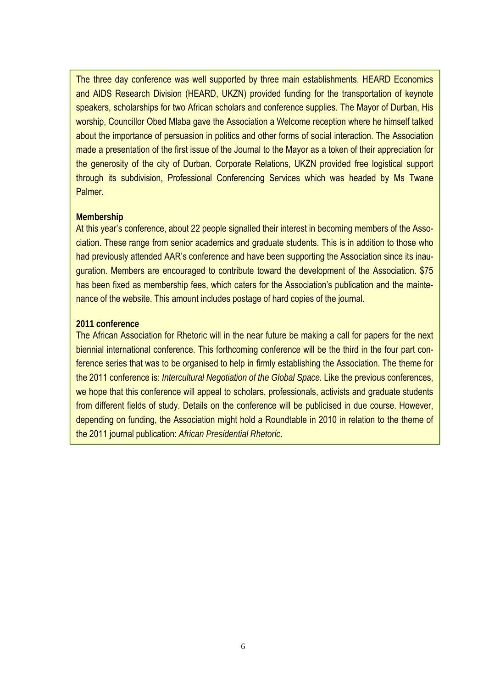The three day conference was well supported by three main establishments. HEARD Economics and AIDS Research Division (HEARD, UKZN) provided funding for the transportation of keynote speakers, scholarships for two African scholars and conference supplies. The Mayor of Durban, His worship, Councillor Obed Mlaba gave the Association a Welcome reception where he himself talked about the importance of persuasion in politics and other forms of social interaction. The Association made a presentation of the first issue of the Journal to the Mayor as a token of their appreciation for the generosity of the city of Durban. Corporate Relations, UKZN provided free logistical support through its subdivision, Professional Conferencing Services which was headed by Ms Twane Palmer.

#### **Membership**

At this year's conference, about 22 people signalled their interest in becoming members of the Association. These range from senior academics and graduate students. This is in addition to those who had previously attended AAR's conference and have been supporting the Association since its inauguration. Members are encouraged to contribute toward the development of the Association. \$75 has been fixed as membership fees, which caters for the Association's publication and the maintenance of the website. This amount includes postage of hard copies of the journal.

#### **2011 conference**

The African Association for Rhetoric will in the near future be making a call for papers for the next biennial international conference. This forthcoming conference will be the third in the four part conference series that was to be organised to help in firmly establishing the Association. The theme for the 2011 conference is: *Intercultural Negotiation of the Global Space.* Like the previous conferences, we hope that this conference will appeal to scholars, professionals, activists and graduate students from different fields of study. Details on the conference will be publicised in due course. However, depending on funding, the Association might hold a Roundtable in 2010 in relation to the theme of the 2011 journal publication: *African Presidential Rhetoric*.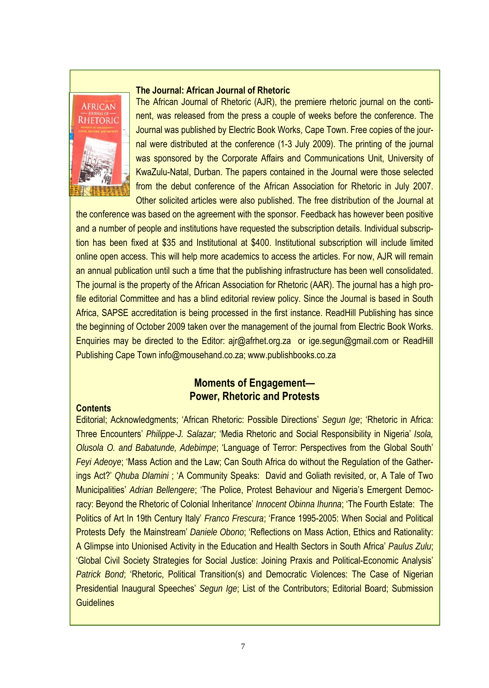# **AFRICAN RHETORIC**

#### **The Journal: African Journal of Rhetoric**

The African Journal of Rhetoric (AJR), the premiere rhetoric journal on the continent, was released from the press a couple of weeks before the conference. The Journal was published by Electric Book Works, Cape Town. Free copies of the journal were distributed at the conference (1-3 July 2009). The printing of the journal was sponsored by the Corporate Affairs and Communications Unit, University of KwaZulu-Natal, Durban. The papers contained in the Journal were those selected from the debut conference of the African Association for Rhetoric in July 2007. Other solicited articles were also published. The free distribution of the Journal at

the conference was based on the agreement with the sponsor. Feedback has however been positive and a number of people and institutions have requested the subscription details. Individual subscription has been fixed at \$35 and Institutional at \$400. Institutional subscription will include limited online open access. This will help more academics to access the articles. For now, AJR will remain an annual publication until such a time that the publishing infrastructure has been well consolidated. The journal is the property of the African Association for Rhetoric (AAR). The journal has a high profile editorial Committee and has a blind editorial review policy. Since the Journal is based in South Africa, SAPSE accreditation is being processed in the first instance. ReadHill Publishing has since the beginning of October 2009 taken over the management of the journal from Electric Book Works. Enquiries may be directed to the Editor: air@afrhet.org.za or ige.segun@gmail.com or ReadHill Publishing Cape Town info@mousehand.co.za; www.publishbooks.co.za

#### **Moments of Engagement— Power, Rhetoric and Protests**

#### **Contents**

Editorial; Acknowledgments; 'African Rhetoric: Possible Directions' *Segun Ige*; 'Rhetoric in Africa: Three Encounters' *Philippe-J. Salazar;* 'Media Rhetoric and Social Responsibility in Nigeria' *Isola, Olusola O. and Babatunde, Adebimpe*; 'Language of Terror: Perspectives from the Global South' *Feyi Adeoye*; 'Mass Action and the Law; Can South Africa do without the Regulation of the Gatherings Act?' *Qhuba Dlamini* ; 'A Community Speaks: David and Goliath revisited, or, A Tale of Two Municipalities' *Adrian Bellengere*; 'The Police, Protest Behaviour and Nigeria's Emergent Democracy: Beyond the Rhetoric of Colonial Inheritance' *Innocent Obinna Ihunna*; 'The Fourth Estate: The Politics of Art In 19th Century Italy' *Franco Frescura*; 'France 1995-2005: When Social and Political Protests Defy the Mainstream' *Daniele Obono*; 'Reflections on Mass Action, Ethics and Rationality: A Glimpse into Unionised Activity in the Education and Health Sectors in South Africa' *Paulus Zulu*; 'Global Civil Society Strategies for Social Justice: Joining Praxis and Political-Economic Analysis' *Patrick Bond*; 'Rhetoric, Political Transition(s) and Democratic Violences: The Case of Nigerian Presidential Inaugural Speeches' *Segun Ige*; List of the Contributors; Editorial Board; Submission **Guidelines**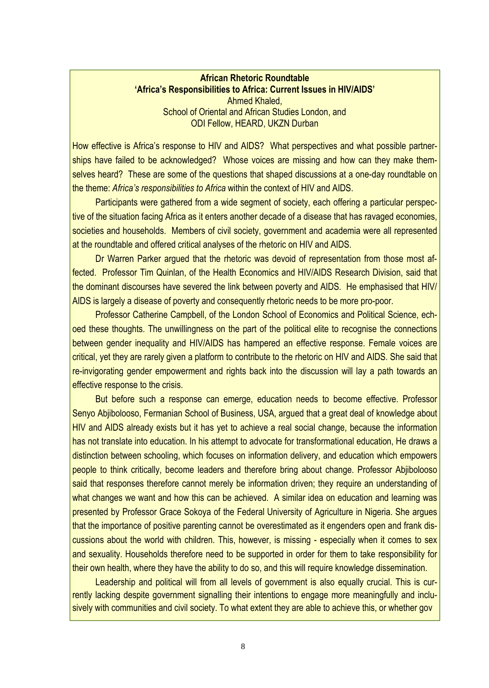#### **African Rhetoric Roundtable 'Africa's Responsibilities to Africa: Current Issues in HIV/AIDS'** Ahmed Khaled, School of Oriental and African Studies London, and ODI Fellow, HEARD, UKZN Durban

How effective is Africa's response to HIV and AIDS? What perspectives and what possible partnerships have failed to be acknowledged? Whose voices are missing and how can they make themselves heard? These are some of the questions that shaped discussions at a one-day roundtable on the theme: *Africa's responsibilities to Africa* within the context of HIV and AIDS.

Participants were gathered from a wide segment of society, each offering a particular perspective of the situation facing Africa as it enters another decade of a disease that has ravaged economies, societies and households. Members of civil society, government and academia were all represented at the roundtable and offered critical analyses of the rhetoric on HIV and AIDS.

Dr Warren Parker argued that the rhetoric was devoid of representation from those most affected. Professor Tim Quinlan, of the Health Economics and HIV/AIDS Research Division, said that the dominant discourses have severed the link between poverty and AIDS. He emphasised that HIV/ AIDS is largely a disease of poverty and consequently rhetoric needs to be more pro-poor.

Professor Catherine Campbell, of the London School of Economics and Political Science, echoed these thoughts. The unwillingness on the part of the political elite to recognise the connections between gender inequality and HIV/AIDS has hampered an effective response. Female voices are critical, yet they are rarely given a platform to contribute to the rhetoric on HIV and AIDS. She said that re-invigorating gender empowerment and rights back into the discussion will lay a path towards an effective response to the crisis.

But before such a response can emerge, education needs to become effective. Professor Senyo Abjibolooso, Fermanian School of Business, USA, argued that a great deal of knowledge about HIV and AIDS already exists but it has yet to achieve a real social change, because the information has not translate into education. In his attempt to advocate for transformational education, He draws a distinction between schooling, which focuses on information delivery, and education which empowers people to think critically, become leaders and therefore bring about change. Professor Abjibolooso said that responses therefore cannot merely be information driven; they require an understanding of what changes we want and how this can be achieved. A similar idea on education and learning was presented by Professor Grace Sokoya of the Federal University of Agriculture in Nigeria. She argues that the importance of positive parenting cannot be overestimated as it engenders open and frank discussions about the world with children. This, however, is missing - especially when it comes to sex and sexuality. Households therefore need to be supported in order for them to take responsibility for their own health, where they have the ability to do so, and this will require knowledge dissemination.

Leadership and political will from all levels of government is also equally crucial. This is currently lacking despite government signalling their intentions to engage more meaningfully and inclusively with communities and civil society. To what extent they are able to achieve this, or whether gov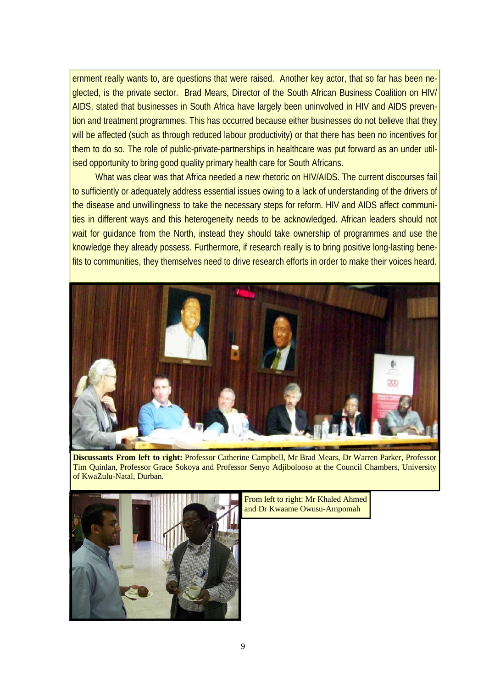ernment really wants to, are questions that were raised. Another key actor, that so far has been neglected, is the private sector. Brad Mears, Director of the South African Business Coalition on HIV/ AIDS, stated that businesses in South Africa have largely been uninvolved in HIV and AIDS prevention and treatment programmes. This has occurred because either businesses do not believe that they will be affected (such as through reduced labour productivity) or that there has been no incentives for them to do so. The role of public-private-partnerships in healthcare was put forward as an under utilised opportunity to bring good quality primary health care for South Africans.

What was clear was that Africa needed a new rhetoric on HIV/AIDS. The current discourses fail to sufficiently or adequately address essential issues owing to a lack of understanding of the drivers of the disease and unwillingness to take the necessary steps for reform. HIV and AIDS affect communities in different ways and this heterogeneity needs to be acknowledged. African leaders should not wait for guidance from the North, instead they should take ownership of programmes and use the knowledge they already possess. Furthermore, if research really is to bring positive long-lasting benefits to communities, they themselves need to drive research efforts in order to make their voices heard.



**Discussants From left to right:** Professor Catherine Campbell, Mr Brad Mears, Dr Warren Parker, Professor Tim Quinlan, Professor Grace Sokoya and Professor Senyo Adjibolooso at the Council Chambers, University of KwaZulu-Natal, Durban.



From left to right: Mr Khaled Ahmed and Dr Kwaame Owusu-Ampomah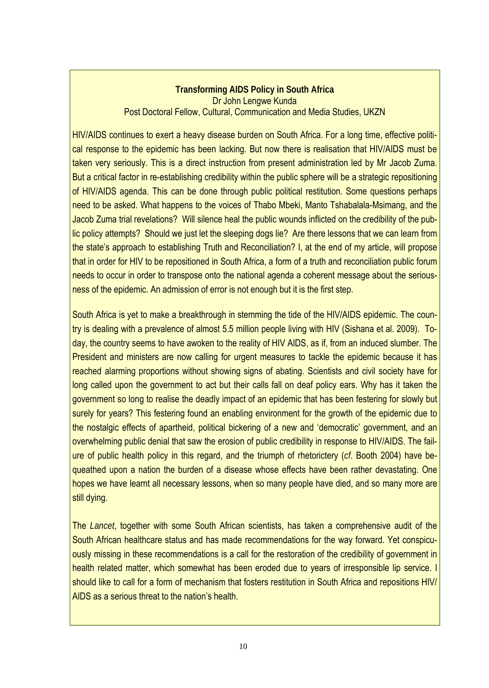#### **Transforming AIDS Policy in South Africa** Dr John Lengwe Kunda Post Doctoral Fellow, Cultural, Communication and Media Studies, UKZN

HIV/AIDS continues to exert a heavy disease burden on South Africa. For a long time, effective political response to the epidemic has been lacking. But now there is realisation that HIV/AIDS must be taken very seriously. This is a direct instruction from present administration led by Mr Jacob Zuma. But a critical factor in re-establishing credibility within the public sphere will be a strategic repositioning of HIV/AIDS agenda. This can be done through public political restitution. Some questions perhaps need to be asked. What happens to the voices of Thabo Mbeki, Manto Tshabalala-Msimang, and the Jacob Zuma trial revelations? Will silence heal the public wounds inflicted on the credibility of the public policy attempts? Should we just let the sleeping dogs lie? Are there lessons that we can learn from the state's approach to establishing Truth and Reconciliation? I, at the end of my article, will propose that in order for HIV to be repositioned in South Africa, a form of a truth and reconciliation public forum needs to occur in order to transpose onto the national agenda a coherent message about the seriousness of the epidemic. An admission of error is not enough but it is the first step.

South Africa is yet to make a breakthrough in stemming the tide of the HIV/AIDS epidemic. The country is dealing with a prevalence of almost 5.5 million people living with HIV (Sishana et al. 2009). Today, the country seems to have awoken to the reality of HIV AIDS, as if, from an induced slumber. The President and ministers are now calling for urgent measures to tackle the epidemic because it has reached alarming proportions without showing signs of abating. Scientists and civil society have for long called upon the government to act but their calls fall on deaf policy ears. Why has it taken the government so long to realise the deadly impact of an epidemic that has been festering for slowly but surely for years? This festering found an enabling environment for the growth of the epidemic due to the nostalgic effects of apartheid, political bickering of a new and 'democratic' government, and an overwhelming public denial that saw the erosion of public credibility in response to HIV/AIDS. The failure of public health policy in this regard, and the triumph of rhetorictery (*cf*. Booth 2004) have bequeathed upon a nation the burden of a disease whose effects have been rather devastating. One hopes we have learnt all necessary lessons, when so many people have died, and so many more are still dying.

The *Lancet*, together with some South African scientists, has taken a comprehensive audit of the South African healthcare status and has made recommendations for the way forward. Yet conspicuously missing in these recommendations is a call for the restoration of the credibility of government in health related matter, which somewhat has been eroded due to years of irresponsible lip service. I should like to call for a form of mechanism that fosters restitution in South Africa and repositions HIV/ AIDS as a serious threat to the nation's health.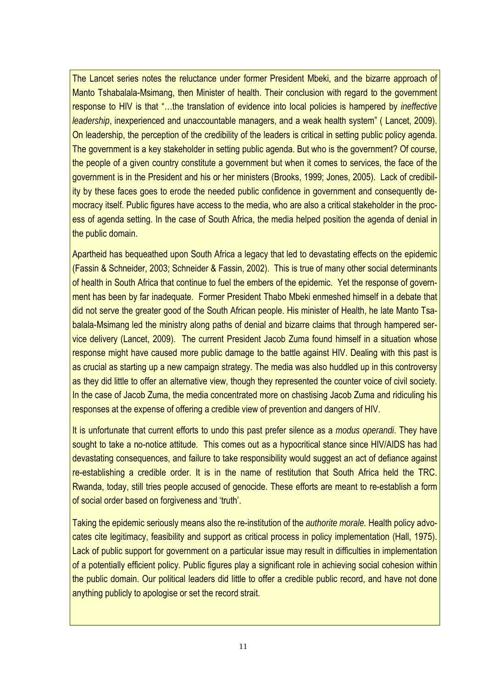The Lancet series notes the reluctance under former President Mbeki, and the bizarre approach of Manto Tshabalala-Msimang, then Minister of health. Their conclusion with regard to the government response to HIV is that "…the translation of evidence into local policies is hampered by *ineffective leadership*, inexperienced and unaccountable managers, and a weak health system" ( Lancet, 2009). On leadership, the perception of the credibility of the leaders is critical in setting public policy agenda. The government is a key stakeholder in setting public agenda. But who is the government? Of course, the people of a given country constitute a government but when it comes to services, the face of the government is in the President and his or her ministers (Brooks, 1999; Jones, 2005). Lack of credibility by these faces goes to erode the needed public confidence in government and consequently democracy itself. Public figures have access to the media, who are also a critical stakeholder in the process of agenda setting. In the case of South Africa, the media helped position the agenda of denial in the public domain.

Apartheid has bequeathed upon South Africa a legacy that led to devastating effects on the epidemic (Fassin & Schneider, 2003; Schneider & Fassin, 2002). This is true of many other social determinants of health in South Africa that continue to fuel the embers of the epidemic. Yet the response of government has been by far inadequate. Former President Thabo Mbeki enmeshed himself in a debate that did not serve the greater good of the South African people. His minister of Health, he late Manto Tsabalala-Msimang led the ministry along paths of denial and bizarre claims that through hampered service delivery (Lancet, 2009). The current President Jacob Zuma found himself in a situation whose response might have caused more public damage to the battle against HIV. Dealing with this past is as crucial as starting up a new campaign strategy. The media was also huddled up in this controversy as they did little to offer an alternative view, though they represented the counter voice of civil society. In the case of Jacob Zuma, the media concentrated more on chastising Jacob Zuma and ridiculing his responses at the expense of offering a credible view of prevention and dangers of HIV.

It is unfortunate that current efforts to undo this past prefer silence as a *modus operandi*. They have sought to take a no-notice attitude. This comes out as a hypocritical stance since HIV/AIDS has had devastating consequences, and failure to take responsibility would suggest an act of defiance against re-establishing a credible order. It is in the name of restitution that South Africa held the TRC. Rwanda, today, still tries people accused of genocide. These efforts are meant to re-establish a form of social order based on forgiveness and 'truth'.

Taking the epidemic seriously means also the re-institution of the *authorite morale.* Health policy advocates cite legitimacy, feasibility and support as critical process in policy implementation (Hall, 1975). Lack of public support for government on a particular issue may result in difficulties in implementation of a potentially efficient policy. Public figures play a significant role in achieving social cohesion within the public domain. Our political leaders did little to offer a credible public record, and have not done anything publicly to apologise or set the record strait.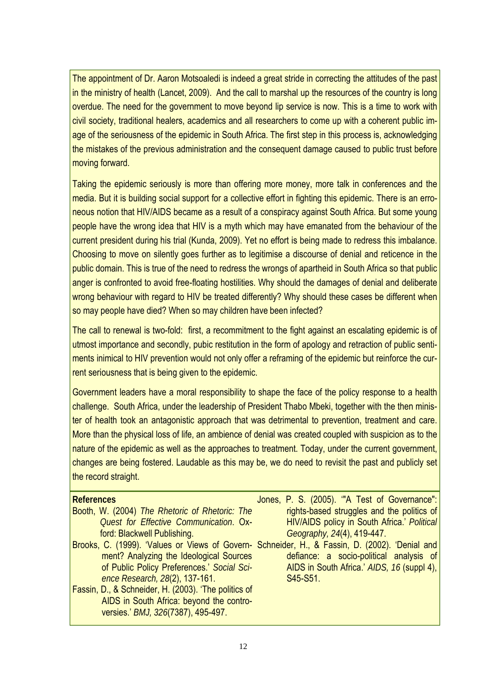The appointment of Dr. Aaron Motsoaledi is indeed a great stride in correcting the attitudes of the past in the ministry of health (Lancet, 2009). And the call to marshal up the resources of the country is long overdue. The need for the government to move beyond lip service is now. This is a time to work with civil society, traditional healers, academics and all researchers to come up with a coherent public image of the seriousness of the epidemic in South Africa. The first step in this process is, acknowledging the mistakes of the previous administration and the consequent damage caused to public trust before moving forward.

Taking the epidemic seriously is more than offering more money, more talk in conferences and the media. But it is building social support for a collective effort in fighting this epidemic. There is an erroneous notion that HIV/AIDS became as a result of a conspiracy against South Africa. But some young people have the wrong idea that HIV is a myth which may have emanated from the behaviour of the current president during his trial (Kunda, 2009). Yet no effort is being made to redress this imbalance. Choosing to move on silently goes further as to legitimise a discourse of denial and reticence in the public domain. This is true of the need to redress the wrongs of apartheid in South Africa so that public anger is confronted to avoid free-floating hostilities. Why should the damages of denial and deliberate wrong behaviour with regard to HIV be treated differently? Why should these cases be different when so may people have died? When so may children have been infected?

The call to renewal is two-fold: first, a recommitment to the fight against an escalating epidemic is of utmost importance and secondly, pubic restitution in the form of apology and retraction of public sentiments inimical to HIV prevention would not only offer a reframing of the epidemic but reinforce the current seriousness that is being given to the epidemic.

Government leaders have a moral responsibility to shape the face of the policy response to a health challenge. South Africa, under the leadership of President Thabo Mbeki, together with the then minister of health took an antagonistic approach that was detrimental to prevention, treatment and care. More than the physical loss of life, an ambience of denial was created coupled with suspicion as to the nature of the epidemic as well as the approaches to treatment. Today, under the current government, changes are being fostered. Laudable as this may be, we do need to revisit the past and publicly set the record straight.

| <b>References</b>                                    | Jones, P. S. (2005). "A Test of Governance":                                                   |
|------------------------------------------------------|------------------------------------------------------------------------------------------------|
| Booth, W. (2004) The Rhetoric of Rhetoric: The       | rights-based struggles and the politics of                                                     |
| <b>Quest for Effective Communication. Ox-</b>        | HIV/AIDS policy in South Africa.' Political                                                    |
| ford: Blackwell Publishing.                          | Geography, 244), 419-447.                                                                      |
|                                                      | Brooks, C. (1999). 'Values or Views of Govern- Schneider, H., & Fassin, D. (2002). 'Denial and |
| ment? Analyzing the Ideological Sources              | defiance: a socio-political analysis of                                                        |
| of Public Policy Preferences.' Social Sci-           | AIDS in South Africa.' AIDS, 16 (suppl 4),                                                     |
| ence Research, 28(2), 137-161.                       | S45-S51.                                                                                       |
| Fassin, D., & Schneider, H. (2003). 'The politics of |                                                                                                |
| AIDS in South Africa: beyond the contro-             |                                                                                                |
| versies.' BMJ, 326(7387), 495-497.                   |                                                                                                |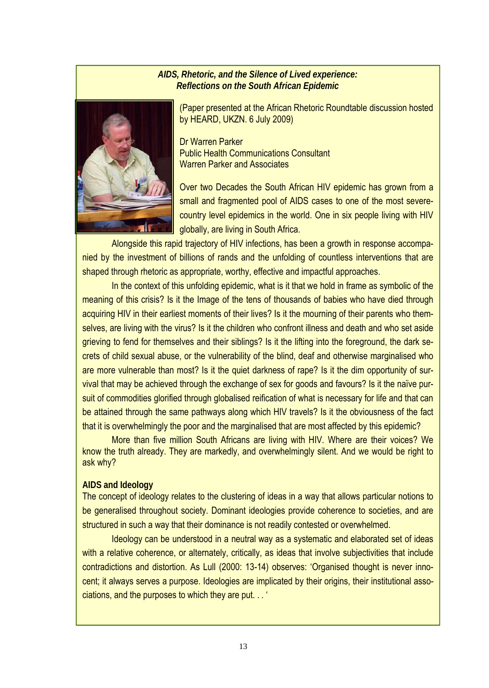#### *AIDS, Rhetoric, and the Silence of Lived experience: Reflections on the South African Epidemic*



(Paper presented at the African Rhetoric Roundtable discussion hosted by HEARD, UKZN. 6 July 2009)

Dr Warren Parker Public Health Communications Consultant Warren Parker and Associates

Over two Decades the South African HIV epidemic has grown from a small and fragmented pool of AIDS cases to one of the most severecountry level epidemics in the world. One in six people living with HIV globally, are living in South Africa.

Alongside this rapid trajectory of HIV infections, has been a growth in response accompanied by the investment of billions of rands and the unfolding of countless interventions that are shaped through rhetoric as appropriate, worthy, effective and impactful approaches.

In the context of this unfolding epidemic, what is it that we hold in frame as symbolic of the meaning of this crisis? Is it the Image of the tens of thousands of babies who have died through acquiring HIV in their earliest moments of their lives? Is it the mourning of their parents who themselves, are living with the virus? Is it the children who confront illness and death and who set aside grieving to fend for themselves and their siblings? Is it the lifting into the foreground, the dark secrets of child sexual abuse, or the vulnerability of the blind, deaf and otherwise marginalised who are more vulnerable than most? Is it the quiet darkness of rape? Is it the dim opportunity of survival that may be achieved through the exchange of sex for goods and favours? Is it the naïve pursuit of commodities glorified through globalised reification of what is necessary for life and that can be attained through the same pathways along which HIV travels? Is it the obviousness of the fact that it is overwhelmingly the poor and the marginalised that are most affected by this epidemic?

More than five million South Africans are living with HIV. Where are their voices? We know the truth already. They are markedly, and overwhelmingly silent. And we would be right to ask why?

#### **AIDS and Ideology**

The concept of ideology relates to the clustering of ideas in a way that allows particular notions to be generalised throughout society. Dominant ideologies provide coherence to societies, and are structured in such a way that their dominance is not readily contested or overwhelmed.

Ideology can be understood in a neutral way as a systematic and elaborated set of ideas with a relative coherence, or alternately, critically, as ideas that involve subjectivities that include contradictions and distortion. As Lull (2000: 13-14) observes: 'Organised thought is never innocent; it always serves a purpose. Ideologies are implicated by their origins, their institutional associations, and the purposes to which they are put. . . '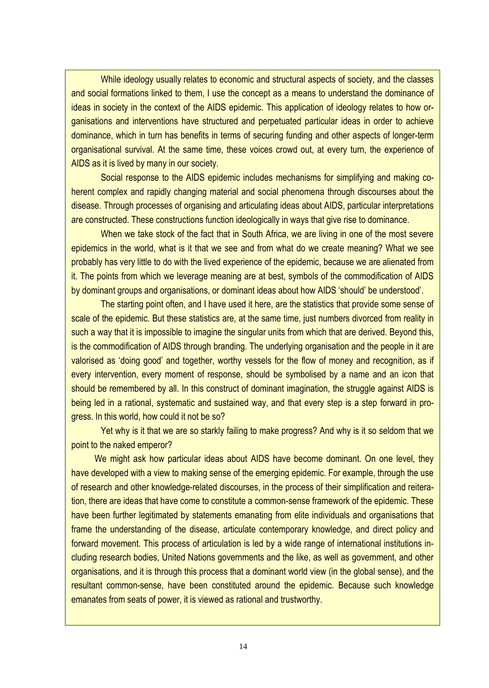While ideology usually relates to economic and structural aspects of society, and the classes and social formations linked to them, I use the concept as a means to understand the dominance of ideas in society in the context of the AIDS epidemic. This application of ideology relates to how organisations and interventions have structured and perpetuated particular ideas in order to achieve dominance, which in turn has benefits in terms of securing funding and other aspects of longer-term organisational survival. At the same time, these voices crowd out, at every turn, the experience of AIDS as it is lived by many in our society.

Social response to the AIDS epidemic includes mechanisms for simplifying and making coherent complex and rapidly changing material and social phenomena through discourses about the disease. Through processes of organising and articulating ideas about AIDS, particular interpretations are constructed. These constructions function ideologically in ways that give rise to dominance.

When we take stock of the fact that in South Africa, we are living in one of the most severe epidemics in the world, what is it that we see and from what do we create meaning? What we see probably has very little to do with the lived experience of the epidemic, because we are alienated from it. The points from which we leverage meaning are at best, symbols of the commodification of AIDS by dominant groups and organisations, or dominant ideas about how AIDS 'should' be understood'.

The starting point often, and I have used it here, are the statistics that provide some sense of scale of the epidemic. But these statistics are, at the same time, just numbers divorced from reality in such a way that it is impossible to imagine the singular units from which that are derived. Beyond this, is the commodification of AIDS through branding. The underlying organisation and the people in it are valorised as 'doing good' and together, worthy vessels for the flow of money and recognition, as if every intervention, every moment of response, should be symbolised by a name and an icon that should be remembered by all. In this construct of dominant imagination, the struggle against AIDS is being led in a rational, systematic and sustained way, and that every step is a step forward in progress. In this world, how could it not be so?

Yet why is it that we are so starkly failing to make progress? And why is it so seldom that we point to the naked emperor?

We might ask how particular ideas about AIDS have become dominant. On one level, they have developed with a view to making sense of the emerging epidemic. For example, through the use of research and other knowledge-related discourses, in the process of their simplification and reiteration, there are ideas that have come to constitute a common-sense framework of the epidemic. These have been further legitimated by statements emanating from elite individuals and organisations that frame the understanding of the disease, articulate contemporary knowledge, and direct policy and forward movement. This process of articulation is led by a wide range of international institutions including research bodies, United Nations governments and the like, as well as government, and other organisations, and it is through this process that a dominant world view (in the global sense), and the resultant common-sense, have been constituted around the epidemic. Because such knowledge emanates from seats of power, it is viewed as rational and trustworthy.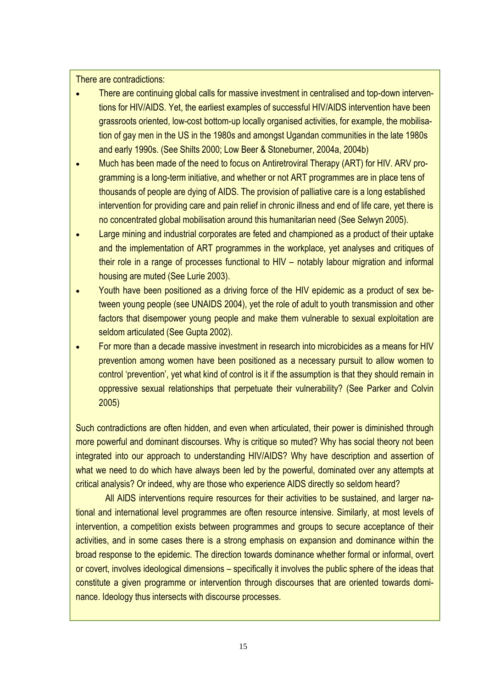There are contradictions:

- There are continuing global calls for massive investment in centralised and top-down interventions for HIV/AIDS. Yet, the earliest examples of successful HIV/AIDS intervention have been grassroots oriented, low-cost bottom-up locally organised activities, for example, the mobilisation of gay men in the US in the 1980s and amongst Ugandan communities in the late 1980s and early 1990s. (See Shilts 2000; Low Beer & Stoneburner, 2004a, 2004b)
- Much has been made of the need to focus on Antiretroviral Therapy (ART) for HIV. ARV programming is a long-term initiative, and whether or not ART programmes are in place tens of thousands of people are dying of AIDS. The provision of palliative care is a long established intervention for providing care and pain relief in chronic illness and end of life care, yet there is no concentrated global mobilisation around this humanitarian need (See Selwyn 2005).
- Large mining and industrial corporates are feted and championed as a product of their uptake and the implementation of ART programmes in the workplace, yet analyses and critiques of their role in a range of processes functional to HIV – notably labour migration and informal housing are muted (See Lurie 2003).
- Youth have been positioned as a driving force of the HIV epidemic as a product of sex between young people (see UNAIDS 2004), yet the role of adult to youth transmission and other factors that disempower young people and make them vulnerable to sexual exploitation are seldom articulated (See Gupta 2002).
- For more than a decade massive investment in research into microbicides as a means for HIV prevention among women have been positioned as a necessary pursuit to allow women to control 'prevention', yet what kind of control is it if the assumption is that they should remain in oppressive sexual relationships that perpetuate their vulnerability? (See Parker and Colvin 2005)

Such contradictions are often hidden, and even when articulated, their power is diminished through more powerful and dominant discourses. Why is critique so muted? Why has social theory not been integrated into our approach to understanding HIV/AIDS? Why have description and assertion of what we need to do which have always been led by the powerful, dominated over any attempts at critical analysis? Or indeed, why are those who experience AIDS directly so seldom heard?

All AIDS interventions require resources for their activities to be sustained, and larger national and international level programmes are often resource intensive. Similarly, at most levels of intervention, a competition exists between programmes and groups to secure acceptance of their activities, and in some cases there is a strong emphasis on expansion and dominance within the broad response to the epidemic. The direction towards dominance whether formal or informal, overt or covert, involves ideological dimensions – specifically it involves the public sphere of the ideas that constitute a given programme or intervention through discourses that are oriented towards dominance. Ideology thus intersects with discourse processes.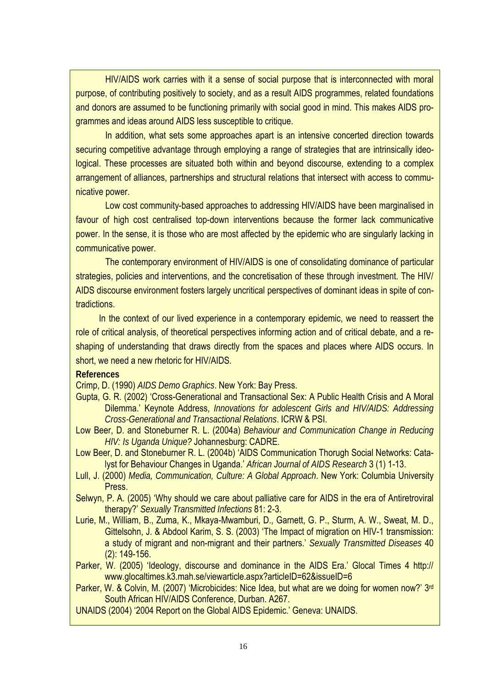HIV/AIDS work carries with it a sense of social purpose that is interconnected with moral purpose, of contributing positively to society, and as a result AIDS programmes, related foundations and donors are assumed to be functioning primarily with social good in mind. This makes AIDS programmes and ideas around AIDS less susceptible to critique.

In addition, what sets some approaches apart is an intensive concerted direction towards securing competitive advantage through employing a range of strategies that are intrinsically ideological. These processes are situated both within and beyond discourse, extending to a complex arrangement of alliances, partnerships and structural relations that intersect with access to communicative power.

Low cost community-based approaches to addressing HIV/AIDS have been marginalised in favour of high cost centralised top-down interventions because the former lack communicative power. In the sense, it is those who are most affected by the epidemic who are singularly lacking in communicative power.

The contemporary environment of HIV/AIDS is one of consolidating dominance of particular strategies, policies and interventions, and the concretisation of these through investment. The HIV/ AIDS discourse environment fosters largely uncritical perspectives of dominant ideas in spite of contradictions.

In the context of our lived experience in a contemporary epidemic, we need to reassert the role of critical analysis, of theoretical perspectives informing action and of critical debate, and a reshaping of understanding that draws directly from the spaces and places where AIDS occurs. In short, we need a new rhetoric for HIV/AIDS.

**References**

Crimp, D. (1990) *AIDS Demo Graphics*. New York: Bay Press.

- Gupta, G. R. (2002) 'Cross-Generational and Transactional Sex: A Public Health Crisis and A Moral Dilemma.' Keynote Address, *Innovations for adolescent Girls and HIV/AIDS: Addressing Cross-Generational and Transactional Relations*. ICRW & PSI.
- Low Beer, D. and Stoneburner R. L. (2004a) *Behaviour and Communication Change in Reducing HIV: Is Uganda Unique?* Johannesburg: CADRE.
- Low Beer, D. and Stoneburner R. L. (2004b) 'AIDS Communication Thorugh Social Networks: Catalyst for Behaviour Changes in Uganda.' *African Journal of AIDS Research* 3 (1) 1-13.
- Lull, J. (2000) *Media, Communication, Culture: A Global Approach*. New York: Columbia University Press.
- Selwyn, P. A. (2005) 'Why should we care about palliative care for AIDS in the era of Antiretroviral therapy?' *Sexually Transmitted Infections* 81: 2-3.
- Lurie, M., William, B., Zuma, K., Mkaya-Mwamburi, D., Garnett, G. P., Sturm, A. W., Sweat, M. D., Gittelsohn, J. & Abdool Karim, S. S. (2003) 'The Impact of migration on HIV-1 transmission: a study of migrant and non-migrant and their partners.' *Sexually Transmitted Diseases* 40 (2): 149-156.
- Parker, W. (2005) 'Ideology, discourse and dominance in the AIDS Era.' Glocal Times 4 http:// www.glocaltimes.k3.mah.se/viewarticle.aspx?articleID=62&issueID=6
- Parker, W. & Colvin, M. (2007) 'Microbicides: Nice Idea, but what are we doing for women now?' 3<sup>rd</sup> South African HIV/AIDS Conference, Durban. A267.

UNAIDS (2004) '2004 Report on the Global AIDS Epidemic.' Geneva: UNAIDS.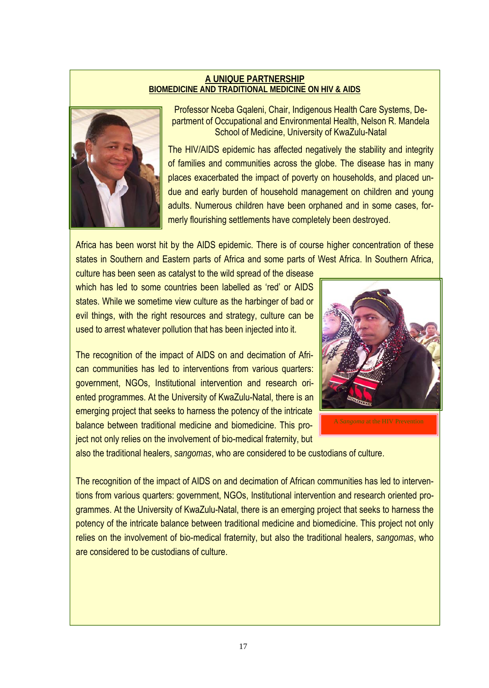#### **A UNIQUE PARTNERSHIP BIOMEDICINE AND TRADITIONAL MEDICINE ON HIV & AIDS**



Professor Nceba Gqaleni, Chair, Indigenous Health Care Systems, Department of Occupational and Environmental Health, Nelson R. Mandela School of Medicine, University of KwaZulu-Natal

The HIV/AIDS epidemic has affected negatively the stability and integrity of families and communities across the globe. The disease has in many places exacerbated the impact of poverty on households, and placed undue and early burden of household management on children and young adults. Numerous children have been orphaned and in some cases, formerly flourishing settlements have completely been destroyed.

Africa has been worst hit by the AIDS epidemic. There is of course higher concentration of these states in Southern and Eastern parts of Africa and some parts of West Africa. In Southern Africa,

culture has been seen as catalyst to the wild spread of the disease which has led to some countries been labelled as 'red' or AIDS states. While we sometime view culture as the harbinger of bad or evil things, with the right resources and strategy, culture can be used to arrest whatever pollution that has been injected into it.

The recognition of the impact of AIDS on and decimation of African communities has led to interventions from various quarters: government, NGOs, Institutional intervention and research oriented programmes. At the University of KwaZulu-Natal, there is an emerging project that seeks to harness the potency of the intricate balance between traditional medicine and biomedicine. This project not only relies on the involvement of bio-medical fraternity, but



also the traditional healers, *sangomas*, who are considered to be custodians of culture.

The recognition of the impact of AIDS on and decimation of African communities has led to interventions from various quarters: government, NGOs, Institutional intervention and research oriented programmes. At the University of KwaZulu-Natal, there is an emerging project that seeks to harness the potency of the intricate balance between traditional medicine and biomedicine. This project not only relies on the involvement of bio-medical fraternity, but also the traditional healers, *sangomas*, who are considered to be custodians of culture.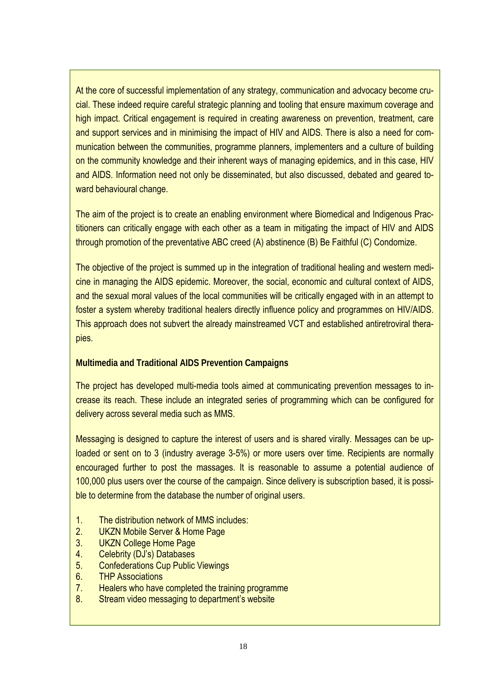At the core of successful implementation of any strategy, communication and advocacy become crucial. These indeed require careful strategic planning and tooling that ensure maximum coverage and high impact. Critical engagement is required in creating awareness on prevention, treatment, care and support services and in minimising the impact of HIV and AIDS. There is also a need for communication between the communities, programme planners, implementers and a culture of building on the community knowledge and their inherent ways of managing epidemics, and in this case, HIV and AIDS. Information need not only be disseminated, but also discussed, debated and geared toward behavioural change.

The aim of the project is to create an enabling environment where Biomedical and Indigenous Practitioners can critically engage with each other as a team in mitigating the impact of HIV and AIDS through promotion of the preventative ABC creed (A) abstinence (B) Be Faithful (C) Condomize.

The objective of the project is summed up in the integration of traditional healing and western medicine in managing the AIDS epidemic. Moreover, the social, economic and cultural context of AIDS, and the sexual moral values of the local communities will be critically engaged with in an attempt to foster a system whereby traditional healers directly influence policy and programmes on HIV/AIDS. This approach does not subvert the already mainstreamed VCT and established antiretroviral therapies.

#### **Multimedia and Traditional AIDS Prevention Campaigns**

The project has developed multi-media tools aimed at communicating prevention messages to increase its reach. These include an integrated series of programming which can be configured for delivery across several media such as MMS.

Messaging is designed to capture the interest of users and is shared virally. Messages can be uploaded or sent on to 3 (industry average 3-5%) or more users over time. Recipients are normally encouraged further to post the massages. It is reasonable to assume a potential audience of 100,000 plus users over the course of the campaign. Since delivery is subscription based, it is possible to determine from the database the number of original users.

- 1. The distribution network of MMS includes:
- 2. UKZN Mobile Server & Home Page
- 3. UKZN College Home Page
- 4. Celebrity (DJ's) Databases
- 5. Confederations Cup Public Viewings
- 6. THP Associations
- 7. Healers who have completed the training programme
- 8. Stream video messaging to department's website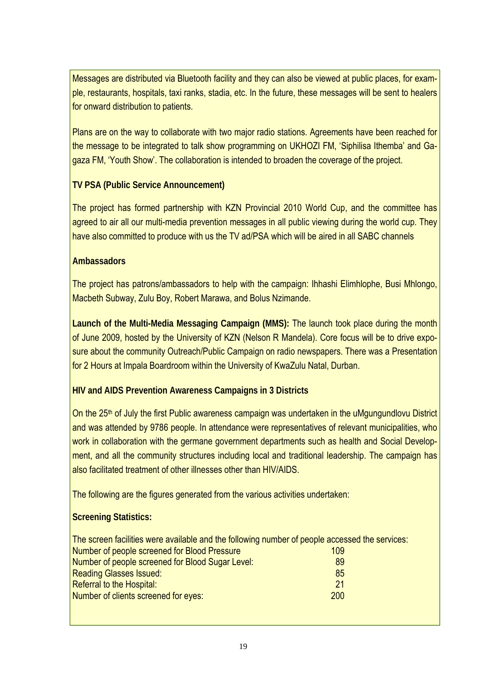Messages are distributed via Bluetooth facility and they can also be viewed at public places, for example, restaurants, hospitals, taxi ranks, stadia, etc. In the future, these messages will be sent to healers for onward distribution to patients.

Plans are on the way to collaborate with two major radio stations. Agreements have been reached for the message to be integrated to talk show programming on UKHOZI FM, 'Siphilisa Ithemba' and Gagaza FM, 'Youth Show'. The collaboration is intended to broaden the coverage of the project.

#### **TV PSA (Public Service Announcement)**

The project has formed partnership with KZN Provincial 2010 World Cup, and the committee has agreed to air all our multi-media prevention messages in all public viewing during the world cup. They have also committed to produce with us the TV ad/PSA which will be aired in all SABC channels

#### **Ambassadors**

The project has patrons/ambassadors to help with the campaign: Ihhashi Elimhlophe, Busi Mhlongo, Macbeth Subway, Zulu Boy, Robert Marawa, and Bolus Nzimande.

**Launch of the Multi-Media Messaging Campaign (MMS):** The launch took place during the month of June 2009, hosted by the University of KZN (Nelson R Mandela). Core focus will be to drive exposure about the community Outreach/Public Campaign on radio newspapers. There was a Presentation for 2 Hours at Impala Boardroom within the University of KwaZulu Natal, Durban.

#### **HIV and AIDS Prevention Awareness Campaigns in 3 Districts**

On the 25<sup>th</sup> of July the first Public awareness campaign was undertaken in the uMgungundlovu District and was attended by 9786 people. In attendance were representatives of relevant municipalities, who work in collaboration with the germane government departments such as health and Social Development, and all the community structures including local and traditional leadership. The campaign has also facilitated treatment of other illnesses other than HIV/AIDS.

The following are the figures generated from the various activities undertaken:

#### **Screening Statistics:**

| The screen facilities were available and the following number of people accessed the services: |     |  |  |
|------------------------------------------------------------------------------------------------|-----|--|--|
| Number of people screened for Blood Pressure                                                   | 109 |  |  |
| Number of people screened for Blood Sugar Level:                                               | 89  |  |  |
| <b>Reading Glasses Issued:</b>                                                                 | 85  |  |  |
| <b>Referral to the Hospital:</b>                                                               | 21  |  |  |
| Number of clients screened for eyes:                                                           | 200 |  |  |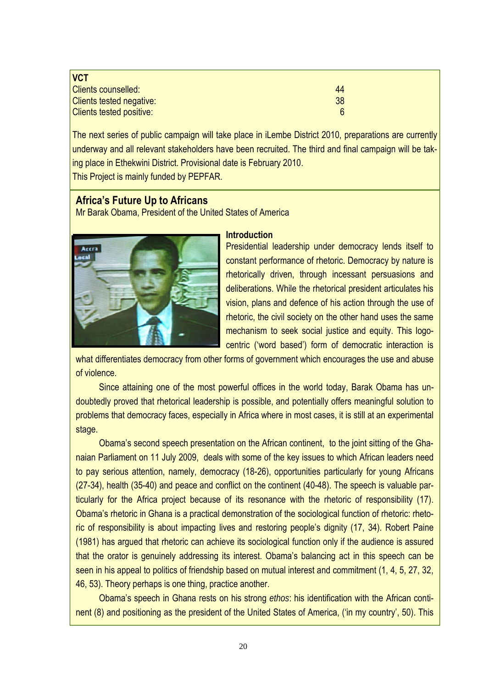| <b>VCT</b>                      |    |  |
|---------------------------------|----|--|
| <b>Clients counselled:</b>      | 44 |  |
| Clients tested negative:        | 38 |  |
| <b>Clients tested positive:</b> |    |  |

The next series of public campaign will take place in iLembe District 2010, preparations are currently underway and all relevant stakeholders have been recruited. The third and final campaign will be taking place in Ethekwini District. Provisional date is February 2010. This Project is mainly funded by PEPFAR.

#### **Africa's Future Up to Africans**

Mr Barak Obama, President of the United States of America



#### **Introduction**

Presidential leadership under democracy lends itself to constant performance of rhetoric. Democracy by nature is rhetorically driven, through incessant persuasions and deliberations. While the rhetorical president articulates his vision, plans and defence of his action through the use of rhetoric, the civil society on the other hand uses the same mechanism to seek social justice and equity. This logocentric ('word based') form of democratic interaction is

what differentiates democracy from other forms of government which encourages the use and abuse of violence.

Since attaining one of the most powerful offices in the world today, Barak Obama has undoubtedly proved that rhetorical leadership is possible, and potentially offers meaningful solution to problems that democracy faces, especially in Africa where in most cases, it is still at an experimental stage.

Obama's second speech presentation on the African continent, to the joint sitting of the Ghanaian Parliament on 11 July 2009, deals with some of the key issues to which African leaders need to pay serious attention, namely, democracy (18-26), opportunities particularly for young Africans (27-34), health (35-40) and peace and conflict on the continent (40-48). The speech is valuable particularly for the Africa project because of its resonance with the rhetoric of responsibility (17). Obama's rhetoric in Ghana is a practical demonstration of the sociological function of rhetoric: rhetoric of responsibility is about impacting lives and restoring people's dignity (17, 34). Robert Paine (1981) has argued that rhetoric can achieve its sociological function only if the audience is assured that the orator is genuinely addressing its interest. Obama's balancing act in this speech can be seen in his appeal to politics of friendship based on mutual interest and commitment (1, 4, 5, 27, 32, 46, 53). Theory perhaps is one thing, practice another.

Obama's speech in Ghana rests on his strong *ethos*: his identification with the African continent (8) and positioning as the president of the United States of America, ('in my country', 50). This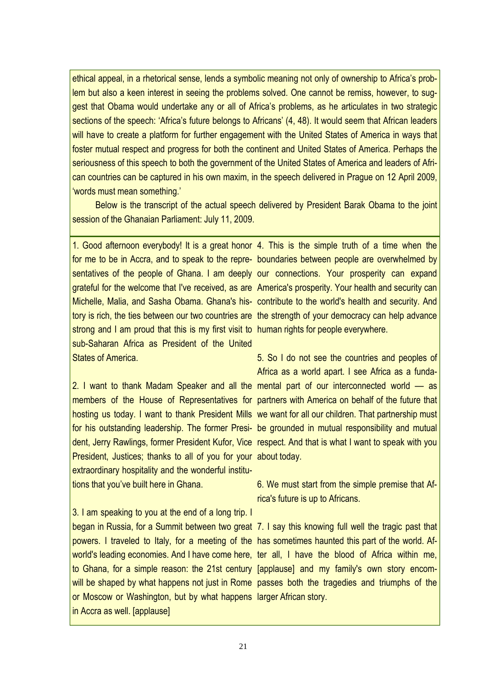ethical appeal, in a rhetorical sense, lends a symbolic meaning not only of ownership to Africa's problem but also a keen interest in seeing the problems solved. One cannot be remiss, however, to suggest that Obama would undertake any or all of Africa's problems, as he articulates in two strategic sections of the speech: 'Africa's future belongs to Africans' (4, 48). It would seem that African leaders will have to create a platform for further engagement with the United States of America in ways that foster mutual respect and progress for both the continent and United States of America. Perhaps the seriousness of this speech to both the government of the United States of America and leaders of African countries can be captured in his own maxim, in the speech delivered in Prague on 12 April 2009, 'words must mean something.'

Below is the transcript of the actual speech delivered by President Barak Obama to the joint session of the Ghanaian Parliament: July 11, 2009.

strong and I am proud that this is my first visit to human rights for people everywhere. sub-Saharan Africa as President of the United States of America.

President, Justices; thanks to all of you for your about today. extraordinary hospitality and the wonderful institutions that you've built here in Ghana.

3. I am speaking to you at the end of a long trip. I began in Russia, for a Summit between two great 7. I say this knowing full well the tragic past that powers. I traveled to Italy, for a meeting of the has sometimes haunted this part of the world. Afworld's leading economies. And I have come here, ter all, I have the blood of Africa within me, to Ghana, for a simple reason: the 21st century [applause] and my family's own story encomwill be shaped by what happens not just in Rome passes both the tragedies and triumphs of the or Moscow or Washington, but by what happens larger African story.in Accra as well. [applause]

1. Good afternoon everybody! It is a great honor 4. This is the simple truth of a time when the for me to be in Accra, and to speak to the repre- boundaries between people are overwhelmed by sentatives of the people of Ghana. I am deeply our connections. Your prosperity can expand grateful for the welcome that I've received, as are America's prosperity. Your health and security can Michelle, Malia, and Sasha Obama. Ghana's his-contribute to the world's health and security. And tory is rich, the ties between our two countries are the strength of your democracy can help advance

2. I want to thank Madam Speaker and all the mental part of our interconnected world –– as members of the House of Representatives for partners with America on behalf of the future that hosting us today. I want to thank President Mills we want for all our children. That partnership must for his outstanding leadership. The former Presi-be grounded in mutual responsibility and mutual dent, Jerry Rawlings, former President Kufor, Vice respect. And that is what I want to speak with you 5. So I do not see the countries and peoples of Africa as a world apart. I see Africa as a funda-

> 6. We must start from the simple premise that Africa's future is up to Africans.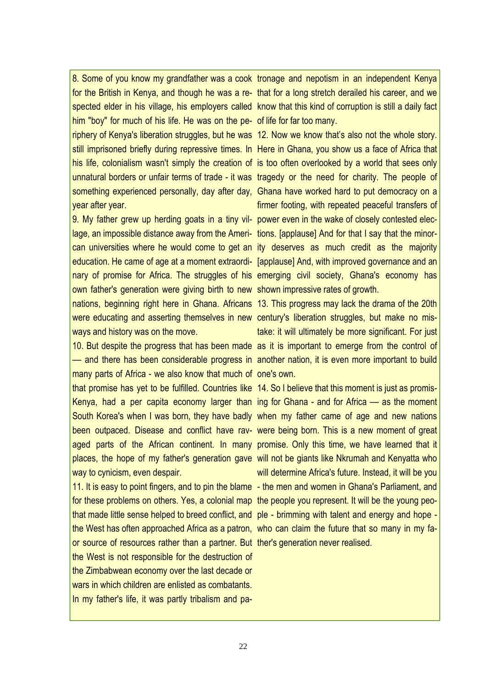him "boy" for much of his life. He was on the pe-of life for far too many. year after year.

own father's generation were giving birth to new shown impressive rates of growth. ways and history was on the move.

many parts of Africa - we also know that much of one's own. that promise has yet to be fulfilled. Countries like 14. So I believe that this moment is just as promisway to cynicism, even despair.

for these problems on others. Yes, a colonial map the people you represent. It will be the young peothat made little sense helped to breed conflict, and ple - brimming with talent and energy and hope the West has often approached Africa as a patron, who can claim the future that so many in my faor source of resources rather than a partner. But ther's generation never realised.the West is not responsible for the destruction of the Zimbabwean economy over the last decade or wars in which children are enlisted as combatants. In my father's life, it was partly tribalism and pa-

8. Some of you know my grandfather was a cook tronage and nepotism in an independent Kenya for the British in Kenya, and though he was a re- that for a long stretch derailed his career, and we spected elder in his village, his employers called know that this kind of corruption is still a daily fact

riphery of Kenya's liberation struggles, but he was 12. Now we know that's also not the whole story. still imprisoned briefly during repressive times. In Here in Ghana, you show us a face of Africa that his life, colonialism wasn't simply the creation of is too often overlooked by a world that sees only unnatural borders or unfair terms of trade - it was tragedy or the need for charity. The people of something experienced personally, day after day, Ghana have worked hard to put democracy on a 9. My father grew up herding goats in a tiny vil-power even in the wake of closely contested eleclage, an impossible distance away from the Ameri- tions. [applause] And for that I say that the minorcan universities where he would come to get an ity deserves as much credit as the majority education. He came of age at a moment extraordi-[applause] And, with improved governance and an nary of promise for Africa. The struggles of his emerging civil society, Ghana's economy has firmer footing, with repeated peaceful transfers of

nations, beginning right here in Ghana. Africans 13. This progress may lack the drama of the 20th were educating and asserting themselves in new century's liberation struggles, but make no mis-10. But despite the progress that has been made as it is important to emerge from the control of — and there has been considerable progress in another nation, it is even more important to build take: it will ultimately be more significant. For just

Kenya, had a per capita economy larger than ing for Ghana - and for Africa — as the moment South Korea's when I was born, they have badly when my father came of age and new nations been outpaced. Disease and conflict have rav-were being born. This is a new moment of great aged parts of the African continent. In many promise. Only this time, we have learned that it places, the hope of my father's generation gave will not be giants like Nkrumah and Kenyatta who 11. It is easy to point fingers, and to pin the blame - the men and women in Ghana's Parliament, and will determine Africa's future. Instead, it will be you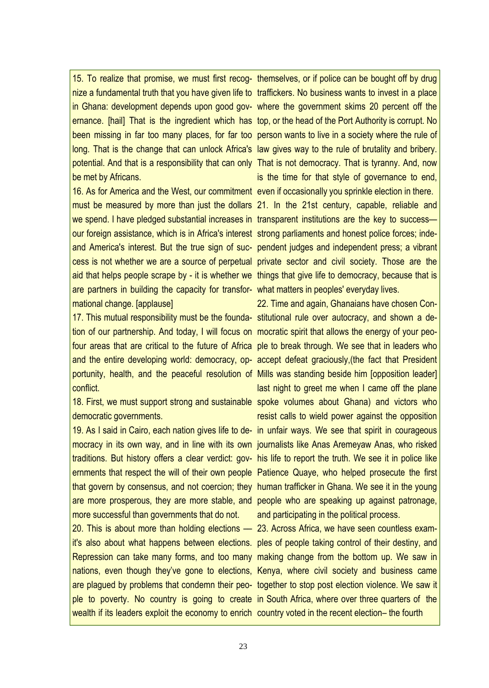be met by Africans.

16. As for America and the West, our commitment even if occasionally you sprinkle election in there. are partners in building the capacity for transfor-what matters in peoples' everyday lives. mational change. [applause]

17. This mutual responsibility must be the founda- stitutional rule over autocracy, and shown a detion of our partnership. And today, I will focus on mocratic spirit that allows the energy of your peoconflict.

democratic governments.

more successful than governments that do not.

wealth if its leaders exploit the economy to enrich country voted in the recent election– the fourth

15. To realize that promise, we must first recog-themselves, or if police can be bought off by drug nize a fundamental truth that you have given life to traffickers. No business wants to invest in a place in Ghana: development depends upon good gov- where the government skims 20 percent off the ernance. [hail] That is the ingredient which has top, or the head of the Port Authority is corrupt. No been missing in far too many places, for far too person wants to live in a society where the rule of long. That is the change that can unlock Africa's law gives way to the rule of brutality and bribery. potential. And that is a responsibility that can only That is not democracy. That is tyranny. And, now must be measured by more than just the dollars 21. In the 21st century, capable, reliable and we spend. I have pledged substantial increases in transparent institutions are the key to success our foreign assistance, which is in Africa's interest strong parliaments and honest police forces; indeand America's interest. But the true sign of suc-pendent judges and independent press; a vibrant cess is not whether we are a source of perpetual private sector and civil society. Those are the aid that helps people scrape by - it is whether we things that give life to democracy, because that is is the time for that style of governance to end,

four areas that are critical to the future of Africa ple to break through. We see that in leaders who and the entire developing world: democracy, op-accept defeat graciously,(the fact that President portunity, health, and the peaceful resolution of Mills was standing beside him [opposition leader] 18. First, we must support strong and sustainable spoke volumes about Ghana) and victors who 19. As I said in Cairo, each nation gives life to de-in unfair ways. We see that spirit in courageous mocracy in its own way, and in line with its own journalists like Anas Aremeyaw Anas, who risked traditions. But history offers a clear verdict: gov- his life to report the truth. We see it in police like ernments that respect the will of their own people Patience Quaye, who helped prosecute the first that govern by consensus, and not coercion; they human trafficker in Ghana. We see it in the young are more prosperous, they are more stable, and people who are speaking up against patronage, 22. Time and again, Ghanaians have chosen Conlast night to greet me when I came off the plane resist calls to wield power against the opposition and participating in the political process.

20. This is about more than holding elections — 23. Across Africa, we have seen countless examit's also about what happens between elections. ples of people taking control of their destiny, and Repression can take many forms, and too many making change from the bottom up. We saw in nations, even though they've gone to elections, Kenya, where civil society and business came are plagued by problems that condemn their peo-together to stop post election violence. We saw it ple to poverty. No country is going to create in South Africa, where over three quarters of the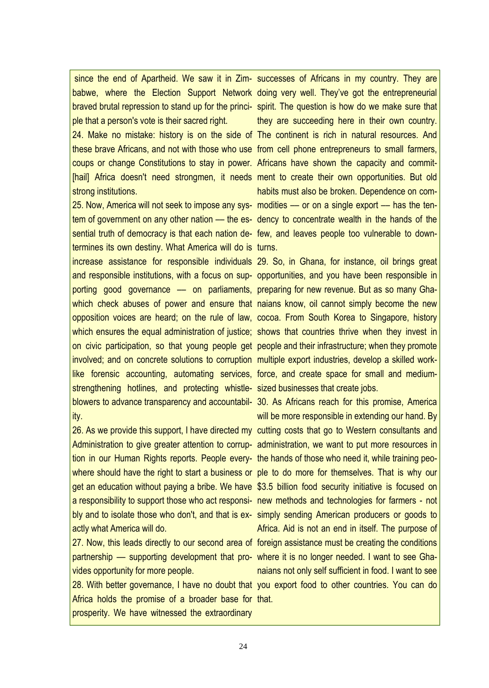ple that a person's vote is their sacred right.

coups or change Constitutions to stay in power. Africans have shown the capacity and commitstrong institutions.

sential truth of democracy is that each nation de-few, and leaves people too vulnerable to downtermines its own destiny. What America will do is turns. strengthening hotlines, and protecting whistle-sized businesses that create jobs. ity.

tion in our Human Rights reports. People every- the hands of those who need it, while training peoactly what America will do.

vides opportunity for more people.

28. With better governance, I have no doubt that you export food to other countries. You can do Africa holds the promise of a broader base for that.prosperity. We have witnessed the extraordinary

since the end of Apartheid. We saw it in Zim-successes of Africans in my country. They are babwe, where the Election Support Network doing very well. They've got the entrepreneurial braved brutal repression to stand up for the princi- spirit. The question is how do we make sure that 24. Make no mistake: history is on the side of The continent is rich in natural resources. And these brave Africans, and not with those who use from cell phone entrepreneurs to small farmers, [hail] Africa doesn't need strongmen, it needs ment to create their own opportunities. But old 25. Now, America will not seek to impose any sys- modities — or on a single export — has the tentem of government on any other nation — the es- dency to concentrate wealth in the hands of the they are succeeding here in their own country. habits must also be broken. Dependence on com-

increase assistance for responsible individuals 29. So, in Ghana, for instance, oil brings great and responsible institutions, with a focus on sup-opportunities, and you have been responsible in porting good governance — on parliaments, preparing for new revenue. But as so many Ghawhich check abuses of power and ensure that naians know, oil cannot simply become the new opposition voices are heard; on the rule of law, cocoa. From South Korea to Singapore, history which ensures the equal administration of justice; shows that countries thrive when they invest in on civic participation, so that young people get people and their infrastructure; when they promote involved; and on concrete solutions to corruption multiple export industries, develop a skilled worklike forensic accounting, automating services, force, and create space for small and medium-

blowers to advance transparency and accountabil-30. As Africans reach for this promise, America 26. As we provide this support, I have directed my cutting costs that go to Western consultants and Administration to give greater attention to corrup- administration, we want to put more resources in where should have the right to start a business or ple to do more for themselves. That is why our get an education without paying a bribe. We have \$3.5 billion food security initiative is focused on a responsibility to support those who act responsi-new methods and technologies for farmers - not bly and to isolate those who don't, and that is ex-simply sending American producers or goods to 27. Now, this leads directly to our second area of foreign assistance must be creating the conditions partnership — supporting development that pro- where it is no longer needed. I want to see Ghawill be more responsible in extending our hand. By Africa. Aid is not an end in itself. The purpose of naians not only self sufficient in food. I want to see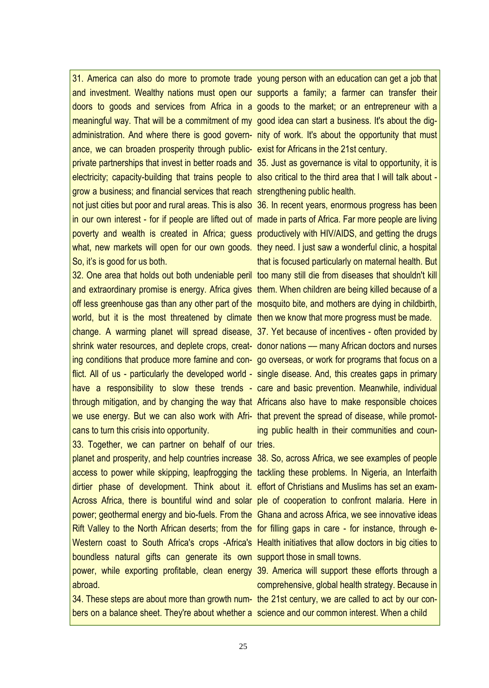meaningful way. That will be a commitment of my good idea can start a business. It's about the digance, we can broaden prosperity through public-exist for Africans in the 21st century. grow a business; and financial services that reach strengthening public health. So, it's is good for us both.

world, but it is the most threatened by climate then we know that more progress must be made. we use energy. But we can also work with Afri- that prevent the spread of disease, while promotcans to turn this crisis into opportunity.

33. Together, we can partner on behalf of our tries. dirtier phase of development. Think about it. effort of Christians and Muslims has set an exam-Rift Valley to the North African deserts; from the for filling gaps in care - for instance, through eboundless natural gifts can generate its own support those in small towns. abroad.

31. America can also do more to promote trade young person with an education can get a job that and investment. Wealthy nations must open our supports a family; a farmer can transfer their doors to goods and services from Africa in a goods to the market; or an entrepreneur with a administration. And where there is good govern-nity of work. It's about the opportunity that must

private partnerships that invest in better roads and 35. Just as governance is vital to opportunity, it is electricity; capacity-building that trains people to also critical to the third area that I will talk about -

not just cities but poor and rural areas. This is also 36. In recent years, enormous progress has been in our own interest - for if people are lifted out of made in parts of Africa. Far more people are living poverty and wealth is created in Africa; guess productively with HIV/AIDS, and getting the drugs what, new markets will open for our own goods. they need. I just saw a wonderful clinic, a hospital 32. One area that holds out both undeniable peril too many still die from diseases that shouldn't kill and extraordinary promise is energy. Africa gives them. When children are being killed because of a off less greenhouse gas than any other part of the mosquito bite, and mothers are dying in childbirth, that is focused particularly on maternal health. But

change. A warming planet will spread disease, 37. Yet because of incentives - often provided by shrink water resources, and deplete crops, creat-donor nations –– many African doctors and nurses ing conditions that produce more famine and con-go overseas, or work for programs that focus on a flict. All of us - particularly the developed world - single disease. And, this creates gaps in primary have a responsibility to slow these trends - care and basic prevention. Meanwhile, individual through mitigation, and by changing the way that Africans also have to make responsible choices ing public health in their communities and coun-

planet and prosperity, and help countries increase 38. So, across Africa, we see examples of people access to power while skipping, leapfrogging the tackling these problems. In Nigeria, an Interfaith Across Africa, there is bountiful wind and solar ple of cooperation to confront malaria. Here in power; geothermal energy and bio-fuels. From the Ghana and across Africa, we see innovative ideas Western coast to South Africa's crops -Africa's Health initiatives that allow doctors in big cities to

power, while exporting profitable, clean energy 39. America will support these efforts through a 34. These steps are about more than growth num-the 21st century, we are called to act by our conbers on a balance sheet. They're about whether a science and our common interest. When a childcomprehensive, global health strategy. Because in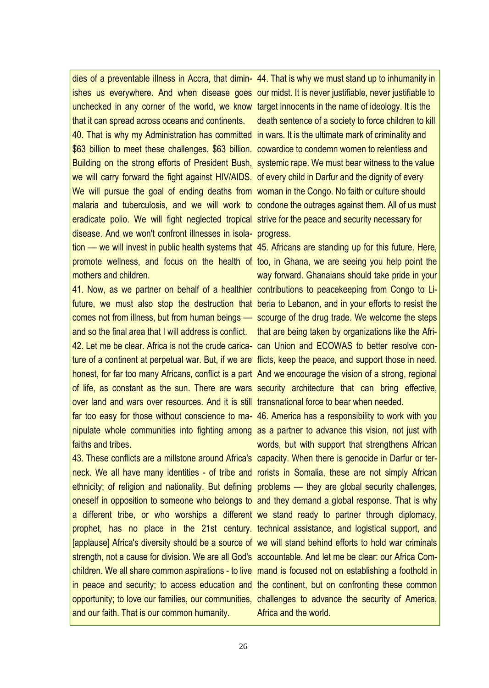ishes us everywhere. And when disease goes our midst. It is never justifiable, never justifiable to unchecked in any corner of the world, we know target innocents in the name of ideology. It is the 40. That is why my Administration has committed in wars. It is the ultimate mark of criminality and \$63 billion to meet these challenges. \$63 billion. cowardice to condemn women to relentless and Building on the strong efforts of President Bush, systemic rape. We must bear witness to the value we will carry forward the fight against HIV/AIDS. of every child in Darfur and the dignity of every We will pursue the goal of ending deaths from woman in the Congo. No faith or culture should eradicate polio. We will fight neglected tropical strive for the peace and security necessary for disease. And we won't confront illnesses in isola-progress. mothers and children.

over land and wars over resources. And it is still transnational force to bear when needed. faiths and tribes.

43. These conflicts are a millstone around Africa's capacity. When there is genocide in Darfur or terstrength, not a cause for division. We are all God's accountable. And let me be clear: our Africa Comand our faith. That is our common humanity.

dies of a preventable illness in Accra, that dimin-44. That is why we must stand up to inhumanity in that it can spread across oceans and continents. death sentence of a society to force children to kill malaria and tuberculosis, and we will work to condone the outrages against them. All of us must

tion –– we will invest in public health systems that 45. Africans are standing up for this future. Here, promote wellness, and focus on the health of too, in Ghana, we are seeing you help point the 41. Now, as we partner on behalf of a healthier contributions to peacekeeping from Congo to Lifuture, we must also stop the destruction that beria to Lebanon, and in your efforts to resist the comes not from illness, but from human beings — scourge of the drug trade. We welcome the steps and so the final area that I will address is conflict. that are being taken by organizations like the Afri-42. Let me be clear. Africa is not the crude carica-can Union and ECOWAS to better resolve conture of a continent at perpetual war. But, if we are flicts, keep the peace, and support those in need. honest, for far too many Africans, conflict is a part And we encourage the vision of a strong, regional of life, as constant as the sun. There are wars security architecture that can bring effective, way forward. Ghanaians should take pride in your

far too easy for those without conscience to ma-46. America has a responsibility to work with you nipulate whole communities into fighting among as a partner to advance this vision, not just with neck. We all have many identities - of tribe and rorists in Somalia, these are not simply African ethnicity; of religion and nationality. But defining problems — they are global security challenges, oneself in opposition to someone who belongs to and they demand a global response. That is why a different tribe, or who worships a different we stand ready to partner through diplomacy, prophet, has no place in the 21st century. technical assistance, and logistical support, and [applause] Africa's diversity should be a source of we will stand behind efforts to hold war criminals children. We all share common aspirations - to live mand is focused not on establishing a foothold in in peace and security; to access education and the continent, but on confronting these common opportunity; to love our families, our communities, challenges to advance the security of America, words, but with support that strengthens African Africa and the world.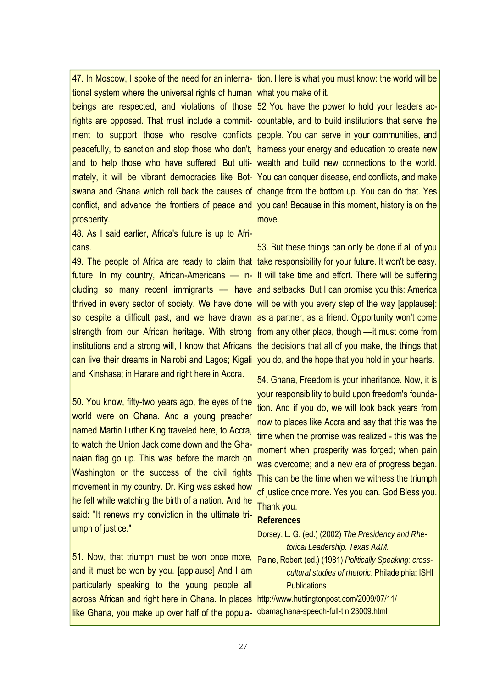tional system where the universal rights of human what you make of it. beings are respected, and violations of those 52 You have the power to hold your leaders acprosperity.

48. As I said earlier, Africa's future is up to Africans.

can live their dreams in Nairobi and Lagos; Kigali you do, and the hope that you hold in your hearts. and Kinshasa; in Harare and right here in Accra.

50. You know, fifty-two years ago, the eyes of the world were on Ghana. And a young preacher named Martin Luther King traveled here, to Accra, to watch the Union Jack come down and the Ghanaian flag go up. This was before the march on Washington or the success of the civil rights movement in my country. Dr. King was asked how he felt while watching the birth of a nation. And he said: "It renews my conviction in the ultimate triumph of justice."

51. Now, that triumph must be won once more, Paine, Robert (ed.) (1981) *Politically Speaking: cross*and it must be won by you. [applause] And I am particularly speaking to the young people all across African and right here in Ghana. In places http://www.huttingtonpost.com/2009/07/11/ like Ghana, you make up over half of the popula- obamaghana-speech-full-t n 23009.html

47. In Moscow, I spoke of the need for an interna-tion. Here is what you must know: the world will be

rights are opposed. That must include a commit-countable, and to build institutions that serve the ment to support those who resolve conflicts people. You can serve in your communities, and peacefully, to sanction and stop those who don't, harness your energy and education to create new and to help those who have suffered. But ulti-wealth and build new connections to the world. mately, it will be vibrant democracies like Bot-You can conquer disease, end conflicts, and make swana and Ghana which roll back the causes of change from the bottom up. You can do that. Yes conflict, and advance the frontiers of peace and you can! Because in this moment, history is on the move.

49. The people of Africa are ready to claim that take responsibility for your future. It won't be easy. future. In my country, African-Americans — in- It will take time and effort. There will be suffering cluding so many recent immigrants –– have and setbacks. But I can promise you this: America thrived in every sector of society. We have done will be with you every step of the way [applause]: so despite a difficult past, and we have drawn as a partner, as a friend. Opportunity won't come strength from our African heritage. With strong from any other place, though ––it must come from institutions and a strong will, I know that Africans the decisions that all of you make, the things that 53. But these things can only be done if all of you

> 54. Ghana, Freedom is your inheritance. Now, it is your responsibility to build upon freedom's foundation. And if you do, we will look back years from now to places like Accra and say that this was the time when the promise was realized - this was the moment when prosperity was forged; when pain was overcome; and a new era of progress began. This can be the time when we witness the triumph of justice once more. Yes you can. God Bless you. Thank you.

#### **References**

Dorsey, L. G. (ed.) (2002) *The Presidency and Rhetorical Leadership. Texas A&M.*

*cultural studies of rhetoric*. Philadelphia: ISHI Publications.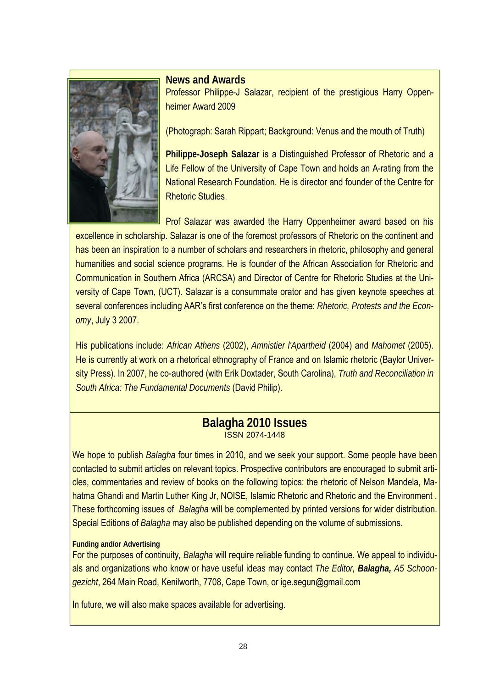#### **News and Awards**



Professor Philippe-J Salazar, recipient of the prestigious Harry Oppenheimer Award 2009

(Photograph: Sarah Rippart; Background: Venus and the mouth of Truth)

**Philippe-Joseph Salazar** is a Distinguished Professor of Rhetoric and a Life Fellow of the University of Cape Town and holds an A-rating from the National Research Foundation. He is director and founder of the Centre for Rhetoric Studies.

Prof Salazar was awarded the Harry Oppenheimer award based on his

excellence in scholarship. Salazar is one of the foremost professors of Rhetoric on the continent and has been an inspiration to a number of scholars and researchers in rhetoric, philosophy and general humanities and social science programs. He is founder of the African Association for Rhetoric and Communication in Southern Africa (ARCSA) and Director of Centre for Rhetoric Studies at the University of Cape Town, (UCT). Salazar is a consummate orator and has given keynote speeches at several conferences including AAR's first conference on the theme: *Rhetoric, Protests and the Economy*, July 3 2007.

His publications include: *African Athens* (2002), *Amnistier l'Apartheid* (2004) and *Mahomet* (2005). He is currently at work on a rhetorical ethnography of France and on Islamic rhetoric (Baylor University Press). In 2007, he co-authored (with Erik Doxtader, South Carolina), *Truth and Reconciliation in South Africa: The Fundamental Documents* (David Philip).

#### **Balagha 2010 Issues** ISSN 2074-1448

We hope to publish *Balagha* four times in 2010, and we seek your support. Some people have been contacted to submit articles on relevant topics. Prospective contributors are encouraged to submit articles, commentaries and review of books on the following topics: the rhetoric of Nelson Mandela, Mahatma Ghandi and Martin Luther King Jr, NOISE, Islamic Rhetoric and Rhetoric and the Environment . These forthcoming issues of *Balagha* will be complemented by printed versions for wider distribution. Special Editions of *Balagha* may also be published depending on the volume of submissions.

#### **Funding and/or Advertising**

For the purposes of continuity*, Balagha* will require reliable funding to continue. We appeal to individuals and organizations who know or have useful ideas may contact *The Editor, Balagha, A5 Schoongezicht*, 264 Main Road, Kenilworth, 7708, Cape Town, or ige.segun@gmail.com

In future, we will also make spaces available for advertising.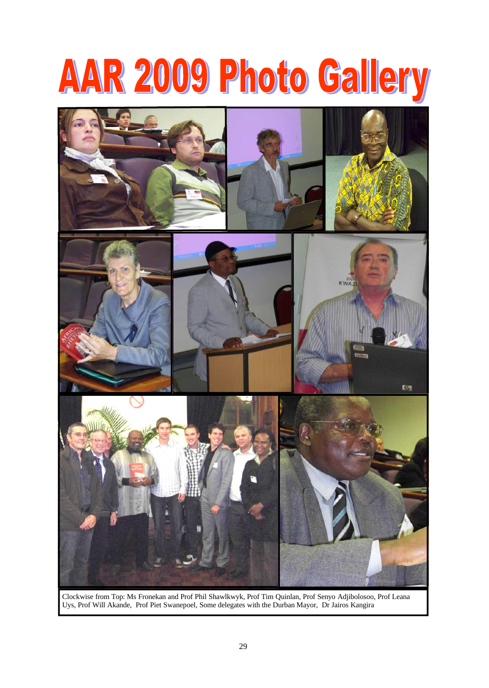# AAR 2009 Photo Gallery



Clockwise from Top: Ms Fronekan and Prof Phil Shawlkwyk, Prof Tim Quinlan, Prof Senyo Adjibolosoo, Prof Leana Uys, Prof Will Akande, Prof Piet Swanepoel, Some delegates with the Durban Mayor, Dr Jairos Kangira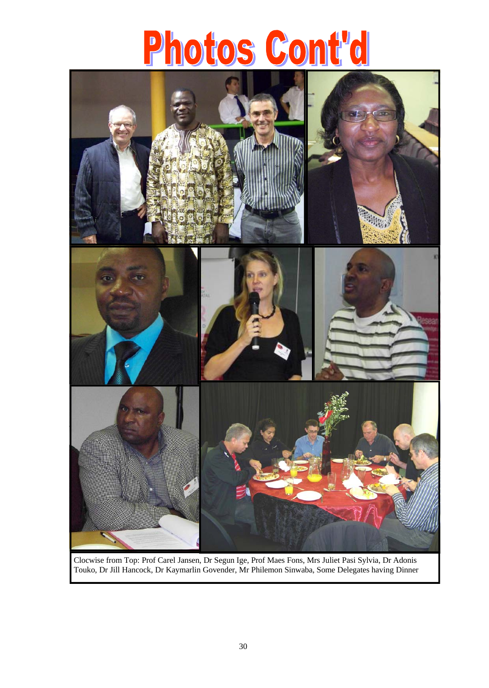# Photos Cont'd

![](_page_29_Picture_1.jpeg)

Clocwise from Top: Prof Carel Jansen, Dr Segun Ige, Prof Maes Fons, Mrs Juliet Pasi Sylvia, Dr Adonis Touko, Dr Jill Hancock, Dr Kaymarlin Govender, Mr Philemon Sinwaba, Some Delegates having Dinner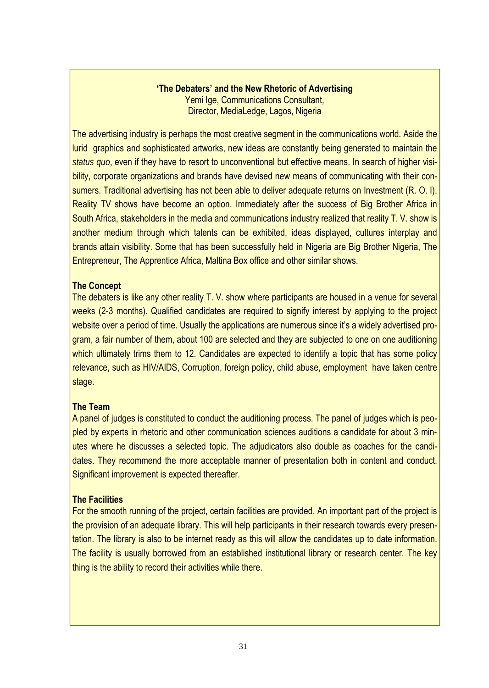#### **'The Debaters' and the New Rhetoric of Advertising** Yemi Ige, Communications Consultant, Director, MediaLedge, Lagos, Nigeria

The advertising industry is perhaps the most creative segment in the communications world. Aside the lurid graphics and sophisticated artworks, new ideas are constantly being generated to maintain the *status quo*, even if they have to resort to unconventional but effective means. In search of higher visibility, corporate organizations and brands have devised new means of communicating with their consumers. Traditional advertising has not been able to deliver adequate returns on Investment (R. O. I). Reality TV shows have become an option. Immediately after the success of Big Brother Africa in South Africa, stakeholders in the media and communications industry realized that reality T. V. show is another medium through which talents can be exhibited, ideas displayed, cultures interplay and brands attain visibility. Some that has been successfully held in Nigeria are Big Brother Nigeria, The Entrepreneur, The Apprentice Africa, Maltina Box office and other similar shows.

#### **The Concept**

The debaters is like any other reality T. V. show where participants are housed in a venue for several weeks (2-3 months). Qualified candidates are required to signify interest by applying to the project website over a period of time. Usually the applications are numerous since it's a widely advertised program, a fair number of them, about 100 are selected and they are subjected to one on one auditioning which ultimately trims them to 12. Candidates are expected to identify a topic that has some policy relevance, such as HIV/AIDS, Corruption, foreign policy, child abuse, employment have taken centre stage.

#### **The Team**

A panel of judges is constituted to conduct the auditioning process. The panel of judges which is peopled by experts in rhetoric and other communication sciences auditions a candidate for about 3 minutes where he discusses a selected topic. The adjudicators also double as coaches for the candidates. They recommend the more acceptable manner of presentation both in content and conduct. Significant improvement is expected thereafter.

#### **The Facilities**

For the smooth running of the project, certain facilities are provided. An important part of the project is the provision of an adequate library. This will help participants in their research towards every presentation. The library is also to be internet ready as this will allow the candidates up to date information. The facility is usually borrowed from an established institutional library or research center. The key thing is the ability to record their activities while there.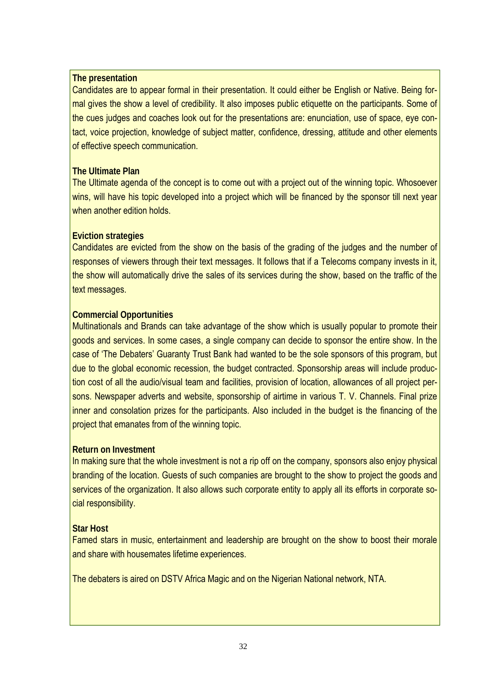#### **The presentation**

Candidates are to appear formal in their presentation. It could either be English or Native. Being formal gives the show a level of credibility. It also imposes public etiquette on the participants. Some of the cues judges and coaches look out for the presentations are: enunciation, use of space, eye contact, voice projection, knowledge of subject matter, confidence, dressing, attitude and other elements of effective speech communication.

#### **The Ultimate Plan**

The Ultimate agenda of the concept is to come out with a project out of the winning topic. Whosoever wins, will have his topic developed into a project which will be financed by the sponsor till next year when another edition holds.

#### **Eviction strategies**

Candidates are evicted from the show on the basis of the grading of the judges and the number of responses of viewers through their text messages. It follows that if a Telecoms company invests in it, the show will automatically drive the sales of its services during the show, based on the traffic of the text messages.

#### **Commercial Opportunities**

Multinationals and Brands can take advantage of the show which is usually popular to promote their goods and services. In some cases, a single company can decide to sponsor the entire show. In the case of 'The Debaters' Guaranty Trust Bank had wanted to be the sole sponsors of this program, but due to the global economic recession, the budget contracted. Sponsorship areas will include production cost of all the audio/visual team and facilities, provision of location, allowances of all project persons. Newspaper adverts and website, sponsorship of airtime in various T. V. Channels. Final prize inner and consolation prizes for the participants. Also included in the budget is the financing of the project that emanates from of the winning topic.

#### **Return on Investment**

In making sure that the whole investment is not a rip off on the company, sponsors also enjoy physical branding of the location. Guests of such companies are brought to the show to project the goods and services of the organization. It also allows such corporate entity to apply all its efforts in corporate social responsibility.

#### **Star Host**

Famed stars in music, entertainment and leadership are brought on the show to boost their morale and share with housemates lifetime experiences.

The debaters is aired on DSTV Africa Magic and on the Nigerian National network, NTA.